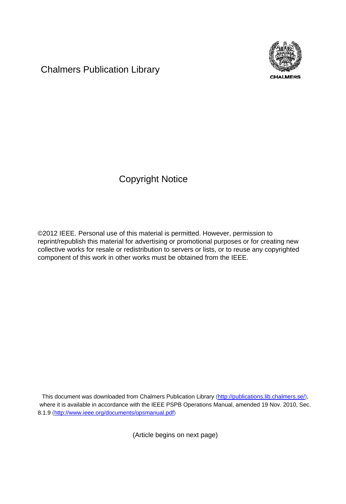Chalmers Publication Library



Copyright Notice

©2012 IEEE. Personal use of this material is permitted. However, permission to reprint/republish this material for advertising or promotional purposes or for creating new collective works for resale or redistribution to servers or lists, or to reuse any copyrighted component of this work in other works must be obtained from the IEEE.

This document was downloaded from Chalmers Publication Library (http://publications.lib.chalmers.se/), where it is available in accordance with the IEEE PSPB Operations Manual, amended 19 Nov. 2010, Sec. 8.1.9 (http://www.ieee.org/documents/opsmanual.pdf)

(Article begins on next page)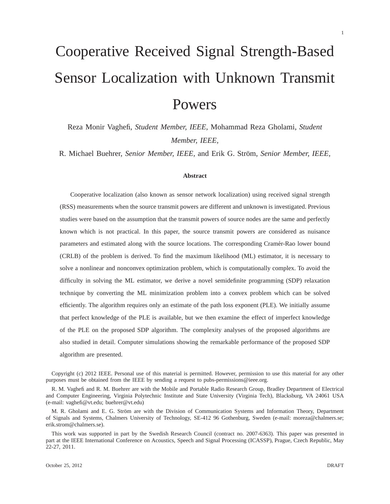# Cooperative Received Signal Strength-Based Sensor Localization with Unknown Transmit Powers

Reza Monir Vaghefi, *Student Member, IEEE,* Mohammad Reza Gholami, *Student Member, IEEE,*

R. Michael Buehrer, *Senior Member, IEEE*, and Erik G. Ström, *Senior Member, IEEE*,

## **Abstract**

Cooperative localization (also known as sensor network localization) using received signal strength (RSS) measurements when the source transmit powers are different and unknown is investigated. Previous studies were based on the assumption that the transmit powers of source nodes are the same and perfectly known which is not practical. In this paper, the source transmit powers are considered as nuisance parameters and estimated along with the source locations. The corresponding Cramér-Rao lower bound (CRLB) of the problem is derived. To find the maximum likelihood (ML) estimator, it is necessary to solve a nonlinear and nonconvex optimization problem, which is computationally complex. To avoid the difficulty in solving the ML estimator, we derive a novel semidefinite programming (SDP) relaxation technique by converting the ML minimization problem into a convex problem which can be solved efficiently. The algorithm requires only an estimate of the path loss exponent (PLE). We initially assume that perfect knowledge of the PLE is available, but we then examine the effect of imperfect knowledge of the PLE on the proposed SDP algorithm. The complexity analyses of the proposed algorithms are also studied in detail. Computer simulations showing the remarkable performance of the proposed SDP algorithm are presented.

Copyright (c) 2012 IEEE. Personal use of this material is permitted. However, permission to use this material for any other purposes must be obtained from the IEEE by sending a request to pubs-permissions@ieee.org.

R. M. Vaghefi and R. M. Buehrer are with the Mobile and Portable Radio Research Group, Bradley Department of Electrical and Computer Engineering, Virginia Polytechnic Institute and State University (Virginia Tech), Blacksburg, VA 24061 USA (e-mail: vaghefi@vt.edu; buehrer@vt.edu)

M. R. Gholami and E. G. Ström are with the Division of Communication Systems and Information Theory, Department of Signals and Systems, Chalmers University of Technology, SE-412 96 Gothenburg, Sweden (e-mail: moreza@chalmers.se; erik.strom@chalmers.se).

This work was supported in part by the Swedish Research Council (contract no. 2007-6363). This paper was presented in part at the IEEE International Conference on Acoustics, Speech and Signal Processing (ICASSP), Prague, Czech Republic, May 22-27, 2011.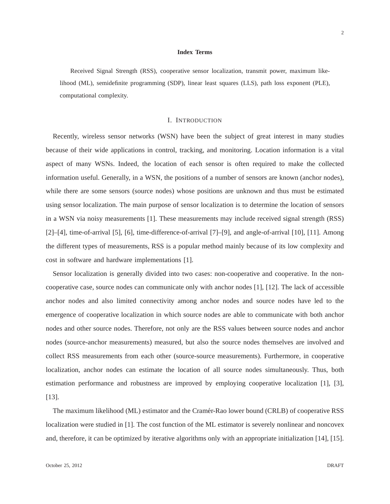## **Index Terms**

Received Signal Strength (RSS), cooperative sensor localization, transmit power, maximum likelihood (ML), semidefinite programming (SDP), linear least squares (LLS), path loss exponent (PLE), computational complexity.

## I. INTRODUCTION

Recently, wireless sensor networks (WSN) have been the subject of great interest in many studies because of their wide applications in control, tracking, and monitoring. Location information is a vital aspect of many WSNs. Indeed, the location of each sensor is often required to make the collected information useful. Generally, in a WSN, the positions of a number of sensors are known (anchor nodes), while there are some sensors (source nodes) whose positions are unknown and thus must be estimated using sensor localization. The main purpose of sensor localization is to determine the location of sensors in a WSN via noisy measurements [1]. These measurements may include received signal strength (RSS) [2]–[4], time-of-arrival [5], [6], time-difference-of-arrival [7]–[9], and angle-of-arrival [10], [11]. Among the different types of measurements, RSS is a popular method mainly because of its low complexity and cost in software and hardware implementations [1].

Sensor localization is generally divided into two cases: non-cooperative and cooperative. In the noncooperative case, source nodes can communicate only with anchor nodes [1], [12]. The lack of accessible anchor nodes and also limited connectivity among anchor nodes and source nodes have led to the emergence of cooperative localization in which source nodes are able to communicate with both anchor nodes and other source nodes. Therefore, not only are the RSS values between source nodes and anchor nodes (source-anchor measurements) measured, but also the source nodes themselves are involved and collect RSS measurements from each other (source-source measurements). Furthermore, in cooperative localization, anchor nodes can estimate the location of all source nodes simultaneously. Thus, both estimation performance and robustness are improved by employing cooperative localization [1], [3], [13].

The maximum likelihood (ML) estimator and the Cramér-Rao lower bound (CRLB) of cooperative RSS localization were studied in [1]. The cost function of the ML estimator is severely nonlinear and noncovex and, therefore, it can be optimized by iterative algorithms only with an appropriate initialization [14], [15].

 $\mathfrak{D}$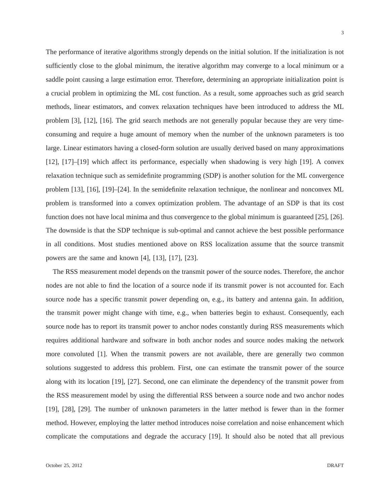The performance of iterative algorithms strongly depends on the initial solution. If the initialization is not sufficiently close to the global minimum, the iterative algorithm may converge to a local minimum or a saddle point causing a large estimation error. Therefore, determining an appropriate initialization point is a crucial problem in optimizing the ML cost function. As a result, some approaches such as grid search methods, linear estimators, and convex relaxation techniques have been introduced to address the ML problem [3], [12], [16]. The grid search methods are not generally popular because they are very timeconsuming and require a huge amount of memory when the number of the unknown parameters is too large. Linear estimators having a closed-form solution are usually derived based on many approximations [12], [17]–[19] which affect its performance, especially when shadowing is very high [19]. A convex relaxation technique such as semidefinite programming (SDP) is another solution for the ML convergence problem [13], [16], [19]–[24]. In the semidefinite relaxation technique, the nonlinear and nonconvex ML problem is transformed into a convex optimization problem. The advantage of an SDP is that its cost function does not have local minima and thus convergence to the global minimum is guaranteed [25], [26]. The downside is that the SDP technique is sub-optimal and cannot achieve the best possible performance in all conditions. Most studies mentioned above on RSS localization assume that the source transmit powers are the same and known [4], [13], [17], [23].

The RSS measurement model depends on the transmit power of the source nodes. Therefore, the anchor nodes are not able to find the location of a source node if its transmit power is not accounted for. Each source node has a specific transmit power depending on, e.g., its battery and antenna gain. In addition, the transmit power might change with time, e.g., when batteries begin to exhaust. Consequently, each source node has to report its transmit power to anchor nodes constantly during RSS measurements which requires additional hardware and software in both anchor nodes and source nodes making the network more convoluted [1]. When the transmit powers are not available, there are generally two common solutions suggested to address this problem. First, one can estimate the transmit power of the source along with its location [19], [27]. Second, one can eliminate the dependency of the transmit power from the RSS measurement model by using the differential RSS between a source node and two anchor nodes [19], [28], [29]. The number of unknown parameters in the latter method is fewer than in the former method. However, employing the latter method introduces noise correlation and noise enhancement which complicate the computations and degrade the accuracy [19]. It should also be noted that all previous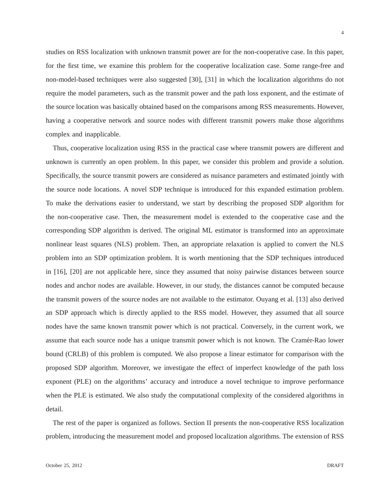studies on RSS localization with unknown transmit power are for the non-cooperative case. In this paper, for the first time, we examine this problem for the cooperative localization case. Some range-free and non-model-based techniques were also suggested [30], [31] in which the localization algorithms do not require the model parameters, such as the transmit power and the path loss exponent, and the estimate of the source location was basically obtained based on the comparisons among RSS measurements. However, having a cooperative network and source nodes with different transmit powers make those algorithms complex and inapplicable.

Thus, cooperative localization using RSS in the practical case where transmit powers are different and unknown is currently an open problem. In this paper, we consider this problem and provide a solution. Specifically, the source transmit powers are considered as nuisance parameters and estimated jointly with the source node locations. A novel SDP technique is introduced for this expanded estimation problem. To make the derivations easier to understand, we start by describing the proposed SDP algorithm for the non-cooperative case. Then, the measurement model is extended to the cooperative case and the corresponding SDP algorithm is derived. The original ML estimator is transformed into an approximate nonlinear least squares (NLS) problem. Then, an appropriate relaxation is applied to convert the NLS problem into an SDP optimization problem. It is worth mentioning that the SDP techniques introduced in [16], [20] are not applicable here, since they assumed that noisy pairwise distances between source nodes and anchor nodes are available. However, in our study, the distances cannot be computed because the transmit powers of the source nodes are not available to the estimator. Ouyang et al. [13] also derived an SDP approach which is directly applied to the RSS model. However, they assumed that all source nodes have the same known transmit power which is not practical. Conversely, in the current work, we assume that each source node has a unique transmit power which is not known. The Cramér-Rao lower bound (CRLB) of this problem is computed. We also propose a linear estimator for comparison with the proposed SDP algorithm. Moreover, we investigate the effect of imperfect knowledge of the path loss exponent (PLE) on the algorithms' accuracy and introduce a novel technique to improve performance when the PLE is estimated. We also study the computational complexity of the considered algorithms in detail.

The rest of the paper is organized as follows. Section II presents the non-cooperative RSS localization problem, introducing the measurement model and proposed localization algorithms. The extension of RSS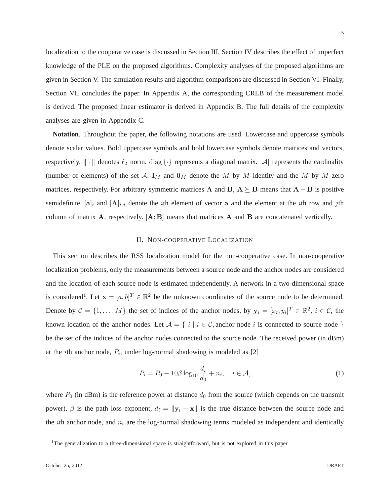localization to the cooperative case is discussed in Section III. Section IV describes the effect of imperfect knowledge of the PLE on the proposed algorithms. Complexity analyses of the proposed algorithms are given in Section V. The simulation results and algorithm comparisons are discussed in Section VI. Finally, Section VII concludes the paper. In Appendix A, the corresponding CRLB of the measurement model is derived. The proposed linear estimator is derived in Appendix B. The full details of the complexity analyses are given in Appendix C.

**Notation**. Throughout the paper, the following notations are used. Lowercase and uppercase symbols denote scalar values. Bold uppercase symbols and bold lowercase symbols denote matrices and vectors, respectively.  $\|\cdot\|$  denotes  $\ell_2$  norm. diag  $\{\cdot\}$  represents a diagonal matrix.  $|\mathcal{A}|$  represents the cardinality (number of elements) of the set A.  $\mathbf{I}_M$  and  $\mathbf{0}_M$  denote the M by M identity and the M by M zero matrices, respectively. For arbitrary symmetric matrices A and B,  $A \succeq B$  means that  $A - B$  is positive semidefinite. [a]<sub>i</sub> and  $[A]_{i,j}$  denote the *i*th element of vector a and the element at the *i*th row and *j*th column of matrix  $\bf{A}$ , respectively.  $[{\bf A};{\bf B}]$  means that matrices  $\bf{A}$  and  $\bf{B}$  are concatenated vertically.

## II. NON-COOPERATIVE LOCALIZATION

This section describes the RSS localization model for the non-cooperative case. In non-cooperative localization problems, only the measurements between a source node and the anchor nodes are considered and the location of each source node is estimated independently. A network in a two-dimensional space is considered<sup>1</sup>. Let  $\mathbf{x} = [a, b]^T \in \mathbb{R}^2$  be the unknown coordinates of the source node to be determined. Denote by  $C = \{1, ..., M\}$  the set of indices of the anchor nodes, by  $y_i = [x_i, y_i]^T \in \mathbb{R}^2$ ,  $i \in C$ , the known location of the anchor nodes. Let  $A = \{ i | i \in \mathcal{C}, \text{anchor node } i \text{ is connected to source node } \}$ be the set of the indices of the anchor nodes connected to the source node. The received power (in dBm) at the *i*th anchor node,  $P_i$ , under log-normal shadowing is modeled as [2]

$$
P_i = P_0 - 10\beta \log_{10} \frac{d_i}{d_0} + n_i, \quad i \in \mathcal{A}, \tag{1}
$$

where  $P_0$  (in dBm) is the reference power at distance  $d_0$  from the source (which depends on the transmit power),  $\beta$  is the path loss exponent,  $d_i = ||\mathbf{y}_i - \mathbf{x}||$  is the true distance between the source node and the *i*th anchor node, and  $n_i$  are the log-normal shadowing terms modeled as independent and identically

<sup>&</sup>lt;sup>1</sup>The generalization to a three-dimensional space is straightforward, but is not explored in this paper.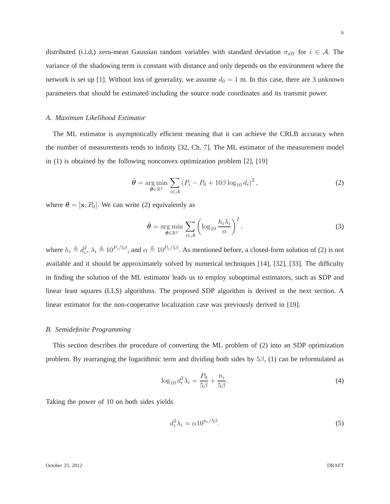distributed (i.i.d.) zero-mean Gaussian random variables with standard deviation  $\sigma_{dB}$  for  $i \in A$ . The variance of the shadowing term is constant with distance and only depends on the environment where the network is set up [1]. Without loss of generality, we assume  $d_0 = 1$  m. In this case, there are 3 unknown parameters that should be estimated including the source node coordinates and its transmit power.

# *A. Maximum Likelihood Estimator*

The ML estimator is asymptotically efficient meaning that it can achieve the CRLB accuracy when the number of measurements tends to infinity [32, Ch. 7]. The ML estimator of the measurement model in (1) is obtained by the following nonconvex optimization problem [2], [19]

$$
\hat{\boldsymbol{\theta}} = \underset{\boldsymbol{\theta} \in \mathbb{R}^3}{\arg \min} \sum_{i \in \mathcal{A}} \left( P_i - P_0 + 10\beta \log_{10} d_i \right)^2, \tag{2}
$$

where  $\theta = [x; P_0]$ . We can write (2) equivalently as

$$
\hat{\boldsymbol{\theta}} = \underset{\boldsymbol{\theta} \in \mathbb{R}^3}{\arg \min} \sum_{i \in \mathcal{A}} \left( \log_{10} \frac{h_i \lambda_i}{\alpha} \right)^2, \tag{3}
$$

where  $h_i \triangleq d_i^2$ ,  $\lambda_i \triangleq 10^{P_i/5\beta}$ , and  $\alpha \triangleq 10^{P_0/5\beta}$ . As mentioned before, a closed-form solution of (2) is not available and it should be approximately solved by numerical techniques [14], [32], [33]. The difficulty in finding the solution of the ML estimator leads us to employ suboptimal estimators, such as SDP and linear least squares (LLS) algorithms. The proposed SDP algorithm is derived in the next section. A linear estimator for the non-cooperative localization case was previously derived in [19].

# *B. Semidefinite Programming*

This section describes the procedure of converting the ML problem of (2) into an SDP optimization problem. By rearranging the logarithmic term and dividing both sides by  $5\beta$ , (1) can be reformulated as

$$
\log_{10} d_i^2 \lambda_i = \frac{P_0}{5\beta} + \frac{n_i}{5\beta}.\tag{4}
$$

Taking the power of 10 on both sides yields

$$
d_i^2 \lambda_i = \alpha 10^{n_i/5\beta}.\tag{5}
$$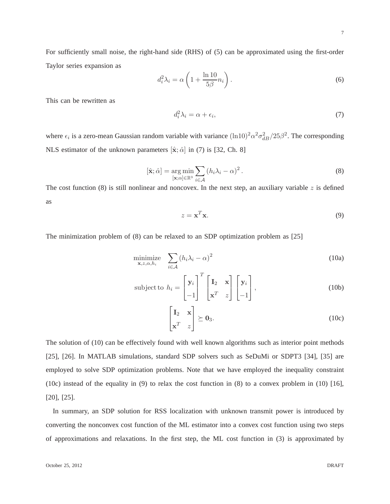For sufficiently small noise, the right-hand side (RHS) of (5) can be approximated using the first-order Taylor series expansion as

$$
d_i^2 \lambda_i = \alpha \left( 1 + \frac{\ln 10}{5\beta} n_i \right). \tag{6}
$$

This can be rewritten as

$$
d_i^2 \lambda_i = \alpha + \epsilon_i,\tag{7}
$$

where  $\epsilon_i$  is a zero-mean Gaussian random variable with variance  $(\text{ln}10)^2 \alpha^2 \sigma_{dB}^2/25\beta^2$ . The corresponding NLS estimator of the unknown parameters  $[\hat{\mathbf{x}}; \hat{\alpha}]$  in (7) is [32, Ch. 8]

$$
[\hat{\mathbf{x}}; \hat{\alpha}] = \underset{[\mathbf{x}; \alpha] \in \mathbb{R}^3}{\arg \min} \sum_{i \in \mathcal{A}} (h_i \lambda_i - \alpha)^2.
$$
 (8)

The cost function (8) is still nonlinear and noncovex. In the next step, an auxiliary variable z is defined as

$$
z = \mathbf{x}^T \mathbf{x}.\tag{9}
$$

The minimization problem of (8) can be relaxed to an SDP optimization problem as [25]

$$
\underset{\mathbf{x},z,\alpha,h_i}{\text{minimize}} \quad \sum_{i\in\mathcal{A}} \left(h_i \lambda_i - \alpha\right)^2 \tag{10a}
$$

subject to 
$$
h_i = \begin{bmatrix} \mathbf{y}_i \\ -1 \end{bmatrix}^T \begin{bmatrix} \mathbf{I}_2 & \mathbf{x} \\ \mathbf{x}^T & z \end{bmatrix} \begin{bmatrix} \mathbf{y}_i \\ -1 \end{bmatrix}
$$
, (10b)

$$
\begin{bmatrix} \mathbf{I}_2 & \mathbf{x} \\ \mathbf{x}^T & z \end{bmatrix} \succeq \mathbf{0}_3. \tag{10c}
$$

The solution of (10) can be effectively found with well known algorithms such as interior point methods [25], [26]. In MATLAB simulations, standard SDP solvers such as SeDuMi or SDPT3 [34], [35] are employed to solve SDP optimization problems. Note that we have employed the inequality constraint (10c) instead of the equality in (9) to relax the cost function in (8) to a convex problem in (10) [16], [20], [25].

In summary, an SDP solution for RSS localization with unknown transmit power is introduced by converting the nonconvex cost function of the ML estimator into a convex cost function using two steps of approximations and relaxations. In the first step, the ML cost function in (3) is approximated by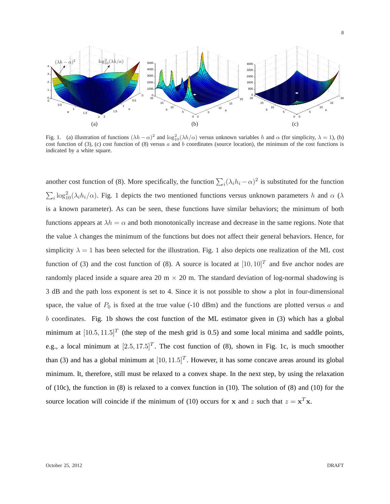

Fig. 1. (a) illustration of functions  $(\lambda h - \alpha)^2$  and  $\log_{10}^2(\lambda h/\alpha)$  versus unknown variables h and  $\alpha$  (for simplicity,  $\lambda = 1$ ), (b) cost function of (3), (c) cost function of (8) versus  $a$  and  $b$  coordinates (source location), the minimum of the cost functions is indicated by a white square.

another cost function of (8). More specifically, the function  $\sum_i (\lambda_i h_i - \alpha)^2$  is substituted for the function  $\sum_i \log_{10}^2(\lambda_i h_i/\alpha)$ . Fig. 1 depicts the two mentioned functions versus unknown parameters h and  $\alpha$  ( $\lambda$ is a known parameter). As can be seen, these functions have similar behaviors; the minimum of both functions appears at  $\lambda h = \alpha$  and both monotonically increase and decrease in the same regions. Note that the value  $\lambda$  changes the minimum of the functions but does not affect their general behaviors. Hence, for simplicity  $\lambda = 1$  has been selected for the illustration. Fig. 1 also depicts one realization of the ML cost function of (3) and the cost function of (8). A source is located at  $[10, 10]^T$  and five anchor nodes are randomly placed inside a square area 20 m  $\times$  20 m. The standard deviation of log-normal shadowing is 3 dB and the path loss exponent is set to 4. Since it is not possible to show a plot in four-dimensional space, the value of  $P_0$  is fixed at the true value (-10 dBm) and the functions are plotted versus a and  $b$  coordinates. Fig. 1b shows the cost function of the ML estimator given in  $(3)$  which has a global minimum at  $[10.5, 11.5]^T$  (the step of the mesh grid is 0.5) and some local minima and saddle points, e.g., a local minimum at  $[2.5, 17.5]^T$ . The cost function of (8), shown in Fig. 1c, is much smoother than (3) and has a global minimum at  $[10, 11.5]^T$ . However, it has some concave areas around its global minimum. It, therefore, still must be relaxed to a convex shape. In the next step, by using the relaxation of (10c), the function in (8) is relaxed to a convex function in (10). The solution of (8) and (10) for the source location will coincide if the minimum of (10) occurs for x and z such that  $z = x^T x$ .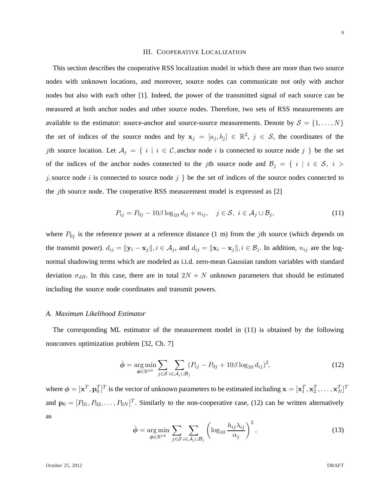## III. COOPERATIVE LOCALIZATION

This section describes the cooperative RSS localization model in which there are more than two source nodes with unknown locations, and moreover, source nodes can communicate not only with anchor nodes but also with each other [1]. Indeed, the power of the transmitted signal of each source can be measured at both anchor nodes and other source nodes. Therefore, two sets of RSS measurements are available to the estimator: source-anchor and source-source measurements. Denote by  $S = \{1, \ldots, N\}$ the set of indices of the source nodes and by  $x_j = [a_j, b_j] \in \mathbb{R}^2$ ,  $j \in S$ , the coordinates of the jth source location. Let  $A_j = \{ i | i \in \mathcal{C}$ , anchor node i is connected to source node j  $\}$  be the set of the indices of the anchor nodes connected to the jth source node and  $\mathcal{B}_j = \{i \mid i \in \mathcal{S}, i >$ j, source node i is connected to source node j  $\}$  be the set of indices of the source nodes connected to the jth source node. The cooperative RSS measurement model is expressed as [2]

$$
P_{ij} = P_{0j} - 10\beta \log_{10} d_{ij} + n_{ij}, \quad j \in \mathcal{S}, \ i \in \mathcal{A}_j \cup \mathcal{B}_j,\tag{11}
$$

where  $P_{0j}$  is the reference power at a reference distance (1 m) from the jth source (which depends on the transmit power).  $d_{ij} = ||\mathbf{y}_i - \mathbf{x}_j||, i \in \mathcal{A}_j$ , and  $d_{ij} = ||\mathbf{x}_i - \mathbf{x}_j||, i \in \mathcal{B}_j$ . In addition,  $n_{ij}$  are the lognormal shadowing terms which are modeled as i.i.d. zero-mean Gaussian random variables with standard deviation  $\sigma_{dB}$ . In this case, there are in total  $2N + N$  unknown parameters that should be estimated including the source node coordinates and transmit powers.

#### *A. Maximum Likelihood Estimator*

The corresponding ML estimator of the measurement model in (11) is obtained by the following nonconvex optimization problem [32, Ch. 7]

$$
\hat{\phi} = \underset{\phi \in \mathbb{R}^{3N}}{\arg \min} \sum_{j \in \mathcal{S}} \sum_{i \in \mathcal{A}_j \cup \mathcal{B}_j} (P_{ij} - P_{0j} + 10\beta \log_{10} d_{ij})^2,
$$
\n(12)

where  $\phi = [\mathbf{x}^T, \mathbf{p}_0^T]^T$  is the vector of unknown parameters to be estimated including  $\mathbf{x} = [\mathbf{x}_1^T, \mathbf{x}_2^T, \dots, \mathbf{x}_N^T]^T$ and  $\mathbf{p}_0 = [P_{01}, P_{02}, \dots, P_{0N}]^T$ . Similarly to the non-cooperative case, (12) can be written alternatively as

$$
\hat{\phi} = \underset{\phi \in \mathbb{R}^{3N}}{\arg \min} \sum_{j \in \mathcal{S}} \sum_{i \in \mathcal{A}_j \cup \mathcal{B}_j} \left( \log_{10} \frac{h_{ij} \lambda_{ij}}{\alpha_j} \right)^2, \tag{13}
$$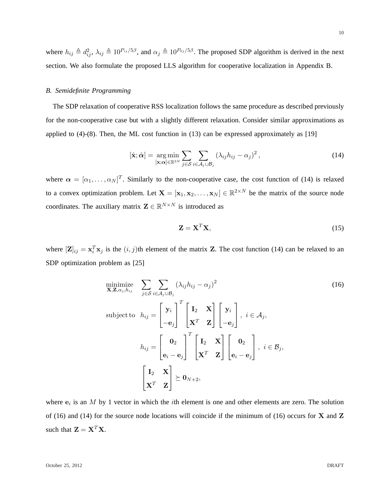where  $h_{ij} \triangleq d_{ij}^2$ ,  $\lambda_{ij} \triangleq 10^{P_{ij}/5\beta}$ , and  $\alpha_j \triangleq 10^{P_{0j}/5\beta}$ . The proposed SDP algorithm is derived in the next section. We also formulate the proposed LLS algorithm for cooperative localization in Appendix B.

# *B. Semidefinite Programming*

The SDP relaxation of cooperative RSS localization follows the same procedure as described previously for the non-cooperative case but with a slightly different relaxation. Consider similar approximations as applied to  $(4)-(8)$ . Then, the ML cost function in  $(13)$  can be expressed approximately as [19]

$$
[\hat{\mathbf{x}}; \hat{\boldsymbol{\alpha}}] = \underset{[\mathbf{x}; \boldsymbol{\alpha}] \in \mathbb{R}^{3N}}{\arg \min} \sum_{j \in S} \sum_{i \in A_j \cup B_j} \left(\lambda_{ij} h_{ij} - \alpha_j\right)^2, \tag{14}
$$

where  $\alpha = [\alpha_1, \dots, \alpha_N]^T$ . Similarly to the non-cooperative case, the cost function of (14) is relaxed to a convex optimization problem. Let  $X = [\mathbf{x}_1, \mathbf{x}_2, \dots, \mathbf{x}_N] \in \mathbb{R}^{2 \times N}$  be the matrix of the source node coordinates. The auxiliary matrix  $\mathbf{Z} \in \mathbb{R}^{N \times N}$  is introduced as

$$
\mathbf{Z} = \mathbf{X}^T \mathbf{X},\tag{15}
$$

where  $[\mathbf{Z}]_{ij} = \mathbf{x}_i^T \mathbf{x}_j$  is the  $(i, j)$ th element of the matrix **Z**. The cost function (14) can be relaxed to an SDP optimization problem as [25]

$$
\begin{aligned}\n\min_{\mathbf{X}, \mathbf{Z}, \alpha_j, h_{ij}} \quad & \sum_{j \in S} \sum_{i \in \mathcal{A}_j \cup \mathcal{B}_j} (\lambda_{ij} h_{ij} - \alpha_j)^2 \\
\text{subject to} \quad h_{ij} & = \begin{bmatrix} \mathbf{y}_i \\ -\mathbf{e}_j \end{bmatrix}^T \begin{bmatrix} \mathbf{I}_2 & \mathbf{X} \\ \mathbf{X}^T & \mathbf{Z} \end{bmatrix} \begin{bmatrix} \mathbf{y}_i \\ -\mathbf{e}_j \end{bmatrix}, \ i \in \mathcal{A}_j, \\
h_{ij} & = \begin{bmatrix} \mathbf{0}_2 \\ \mathbf{e}_i - \mathbf{e}_j \end{bmatrix}^T \begin{bmatrix} \mathbf{I}_2 & \mathbf{X} \\ \mathbf{X}^T & \mathbf{Z} \end{bmatrix} \begin{bmatrix} \mathbf{0}_2 \\ \mathbf{e}_i - \mathbf{e}_j \end{bmatrix}, \ i \in \mathcal{B}_j, \\
\mathbf{X}^T & \mathbf{Z} \end{aligned} \end{aligned} \tag{16}
$$

where  $e_i$  is an M by 1 vector in which the *i*th element is one and other elements are zero. The solution of (16) and (14) for the source node locations will coincide if the minimum of (16) occurs for  $X$  and  $Z$ such that  $\mathbf{Z} = \mathbf{X}^T \mathbf{X}$ .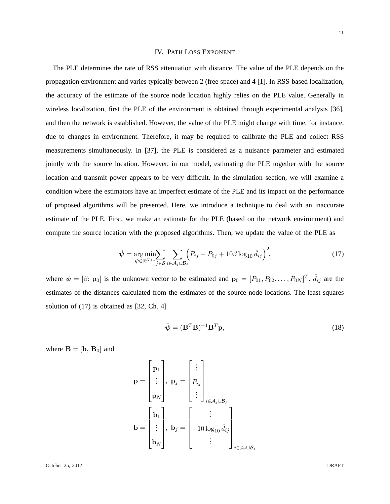# IV. PATH LOSS EXPONENT

The PLE determines the rate of RSS attenuation with distance. The value of the PLE depends on the propagation environment and varies typically between 2 (free space) and 4 [1]. In RSS-based localization, the accuracy of the estimate of the source node location highly relies on the PLE value. Generally in wireless localization, first the PLE of the environment is obtained through experimental analysis [36], and then the network is established. However, the value of the PLE might change with time, for instance, due to changes in environment. Therefore, it may be required to calibrate the PLE and collect RSS measurements simultaneously. In [37], the PLE is considered as a nuisance parameter and estimated jointly with the source location. However, in our model, estimating the PLE together with the source location and transmit power appears to be very difficult. In the simulation section, we will examine a condition where the estimators have an imperfect estimate of the PLE and its impact on the performance of proposed algorithms will be presented. Here, we introduce a technique to deal with an inaccurate estimate of the PLE. First, we make an estimate for the PLE (based on the network environment) and compute the source location with the proposed algorithms. Then, we update the value of the PLE as

$$
\hat{\psi} = \underset{\psi \in \mathbb{R}^{N+1}}{\arg \min} \sum_{j \in S} \sum_{i \in A_j \cup \mathcal{B}_j} \Big( P_{ij} - P_{0j} + 10\beta \log_{10} \hat{d}_{ij} \Big)^2, \tag{17}
$$

where  $\psi = [\beta; \mathbf{p}_0]$  is the unknown vector to be estimated and  $\mathbf{p}_0 = [P_{01}, P_{02}, \dots, P_{0N}]^T$ .  $\hat{d}_{ij}$  are the estimates of the distances calculated from the estimates of the source node locations. The least squares solution of (17) is obtained as [32, Ch. 4]

$$
\hat{\psi} = (\mathbf{B}^T \mathbf{B})^{-1} \mathbf{B}^T \mathbf{p},\tag{18}
$$

where  $\mathbf{B} = [\mathbf{b}, \, \mathbf{B}_0]$  and

$$
\mathbf{p} = \begin{bmatrix} \mathbf{p}_1 \\ \vdots \\ \mathbf{p}_N \end{bmatrix}, \ \mathbf{p}_j = \begin{bmatrix} \vdots \\ P_{ij} \\ \vdots \\ \vdots \end{bmatrix}, \ i \in A_j \cup B_j
$$

$$
\mathbf{b} = \begin{bmatrix} \mathbf{b}_1 \\ \vdots \\ \mathbf{b}_N \end{bmatrix}, \ \mathbf{b}_j = \begin{bmatrix} \vdots \\ -10 \log_{10} \hat{d}_{ij} \\ \vdots \end{bmatrix}_{i \in A_j \cup B_j}
$$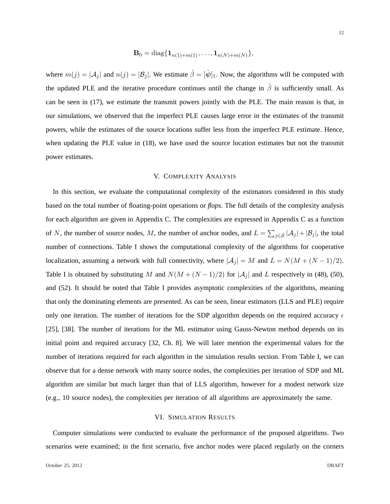$$
\mathbf{B}_0 = \mathrm{diag}\{\mathbf{1}_{n(1)+m(1)},\ldots,\mathbf{1}_{n(N)+m(N)}\},\,
$$

where  $m(j) = |\mathcal{A}_j|$  and  $n(j) = |\mathcal{B}_j|$ . We estimate  $\hat{\beta} = [\hat{\psi}]_1$ . Now, the algorithms will be computed with the updated PLE and the iterative procedure continues until the change in  $\hat{\beta}$  is sufficiently small. As can be seen in (17), we estimate the transmit powers jointly with the PLE. The main reason is that, in our simulations, we observed that the imperfect PLE causes large error in the estimates of the transmit powers, while the estimates of the source locations suffer less from the imperfect PLE estimate. Hence, when updating the PLE value in (18), we have used the source location estimates but not the transmit power estimates.

#### V. COMPLEXITY ANALYSIS

In this section, we evaluate the computational complexity of the estimators considered in this study based on the total number of floating-point operations or *flops*. The full details of the complexity analysis for each algorithm are given in Appendix C. The complexities are expressed in Appendix C as a function of N, the number of source nodes, M, the number of anchor nodes, and  $L = \sum_{j \in S} |A_j| + |B_j|$ , the total number of connections. Table I shows the computational complexity of the algorithms for cooperative localization, assuming a network with full connectivity, where  $|\mathcal{A}_j| = M$  and  $L = N(M + (N - 1)/2)$ . Table I is obtained by substituting M and  $N(M + (N-1)/2)$  for  $|\mathcal{A}_j|$  and L respectively in (48), (50), and (52). It should be noted that Table I provides asymptotic complexities of the algorithms, meaning that only the dominating elements are presented. As can be seen, linear estimators (LLS and PLE) require only one iteration. The number of iterations for the SDP algorithm depends on the required accuracy  $\epsilon$ [25], [38]. The number of iterations for the ML estimator using Gauss-Newton method depends on its initial point and required accuracy [32, Ch. 8]. We will later mention the experimental values for the number of iterations required for each algorithm in the simulation results section. From Table I, we can observe that for a dense network with many source nodes, the complexities per iteration of SDP and ML algorithm are similar but much larger than that of LLS algorithm, however for a modest network size (e.g., 10 source nodes), the complexities per iteration of all algorithms are approximately the same.

## VI. SIMULATION RESULTS

Computer simulations were conducted to evaluate the performance of the proposed algorithms. Two scenarios were examined; in the first scenario, five anchor nodes were placed regularly on the corners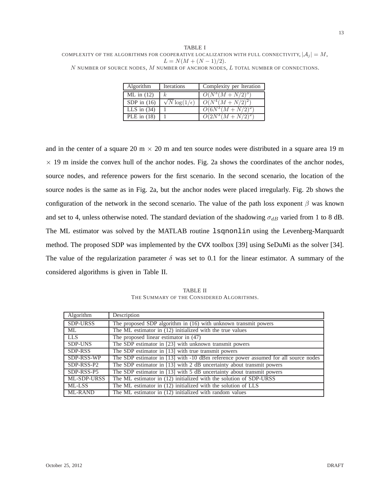TABLE I COMPLEXITY OF THE ALGORITHMS FOR COOPERATIVE LOCALIZATION WITH FULL CONNECTIVITY,  $|A_j| = M$ ,  $L = N(M + (N - 1)/2).$  $N$  number of source nodes,  $M$  number of anchor nodes,  $L$  total number of connections.

| <b>Algorithm</b> | <b>Iterations</b>           | Complexity per Iteration |
|------------------|-----------------------------|--------------------------|
| $ML$ in $(12)$   | $\kappa$                    | $O(N^3(M+N/2)^3)$        |
| SDP in $(16)$    | $\sqrt{N} \log(1/\epsilon)$ | $O(N^4(M+N/2)^2)$        |
| LLS in $(34)$    |                             | $O(6N^3(M+N/2)^2)$       |
| PLE in $(18)$    |                             | $O(2N^3(M+N/2)^2)$       |

and in the center of a square 20 m  $\times$  20 m and ten source nodes were distributed in a square area 19 m  $\times$  19 m inside the convex hull of the anchor nodes. Fig. 2a shows the coordinates of the anchor nodes, source nodes, and reference powers for the first scenario. In the second scenario, the location of the source nodes is the same as in Fig. 2a, but the anchor nodes were placed irregularly. Fig. 2b shows the configuration of the network in the second scenario. The value of the path loss exponent  $\beta$  was known and set to 4, unless otherwise noted. The standard deviation of the shadowing  $\sigma_{dB}$  varied from 1 to 8 dB. The ML estimator was solved by the MATLAB routine lsqnonlin using the Levenberg-Marquardt method. The proposed SDP was implemented by the CVX toolbox [39] using SeDuMi as the solver [34]. The value of the regularization parameter  $\delta$  was set to 0.1 for the linear estimator. A summary of the considered algorithms is given in Table II.

TABLE II THE SUMMARY OF THE CONSIDERED ALGORITHMS.

| Algorithm       | Description                                                                         |
|-----------------|-------------------------------------------------------------------------------------|
| <b>SDP-URSS</b> | The proposed SDP algorithm in (16) with unknown transmit powers                     |
| ML              | The ML estimator in (12) initialized with the true values                           |
| <b>LLS</b>      | The proposed linear estimator in (47)                                               |
| <b>SDP-UNS</b>  | The SDP estimator in [23] with unknown transmit powers                              |
| SDP-RSS         | The SDP estimator in [13] with true transmit powers                                 |
| SDP-RSS-WP      | The SDP estimator in [13] with -10 dBm reference power assumed for all source nodes |
| SDP-RSS-P2      | The SDP estimator in [13] with 2 dB uncertainty about transmit powers               |
| SDP-RSS-P5      | The SDP estimator in [13] with 5 dB uncertainty about transmit powers               |
| ML-SDP-URSS     | The ML estimator in (12) initialized with the solution of SDP-URSS                  |
| ML-LSS          | The ML estimator in (12) initialized with the solution of LLS                       |
| ML-RAND         | The ML estimator in $(12)$ initialized with random values                           |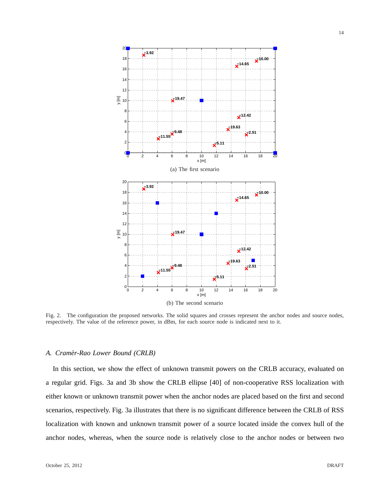

Fig. 2. The configuration the proposed networks. The solid squares and crosses represent the anchor nodes and source nodes, respectively. The value of the reference power, in dBm, for each source node is indicated next to it.

# *A. Cramer-Rao Lower Bound (CRLB) ´*

In this section, we show the effect of unknown transmit powers on the CRLB accuracy, evaluated on a regular grid. Figs. 3a and 3b show the CRLB ellipse [40] of non-cooperative RSS localization with either known or unknown transmit power when the anchor nodes are placed based on the first and second scenarios, respectively. Fig. 3a illustrates that there is no significant difference between the CRLB of RSS localization with known and unknown transmit power of a source located inside the convex hull of the anchor nodes, whereas, when the source node is relatively close to the anchor nodes or between two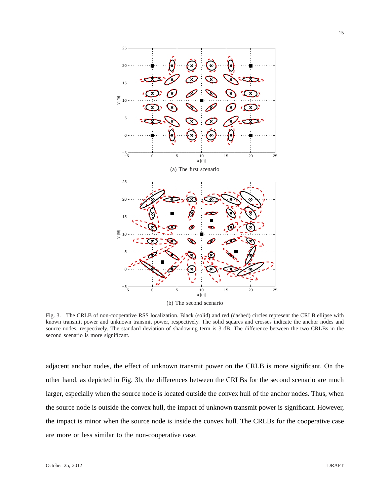

Fig. 3. The CRLB of non-cooperative RSS localization. Black (solid) and red (dashed) circles represent the CRLB ellipse with known transmit power and unknown transmit power, respectively. The solid squares and crosses indicate the anchor nodes and source nodes, respectively. The standard deviation of shadowing term is 3 dB. The difference between the two CRLBs in the second scenario is more significant.

adjacent anchor nodes, the effect of unknown transmit power on the CRLB is more significant. On the other hand, as depicted in Fig. 3b, the differences between the CRLBs for the second scenario are much larger, especially when the source node is located outside the convex hull of the anchor nodes. Thus, when the source node is outside the convex hull, the impact of unknown transmit power is significant. However, the impact is minor when the source node is inside the convex hull. The CRLBs for the cooperative case are more or less similar to the non-cooperative case.

15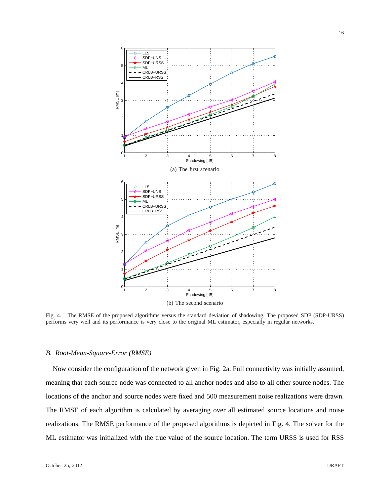

Fig. 4. The RMSE of the proposed algorithms versus the standard deviation of shadowing. The proposed SDP (SDP-URSS) performs very well and its performance is very close to the original ML estimator, especially in regular networks.

# *B. Root-Mean-Square-Error (RMSE)*

Now consider the configuration of the network given in Fig. 2a. Full connectivity was initially assumed, meaning that each source node was connected to all anchor nodes and also to all other source nodes. The locations of the anchor and source nodes were fixed and 500 measurement noise realizations were drawn. The RMSE of each algorithm is calculated by averaging over all estimated source locations and noise realizations. The RMSE performance of the proposed algorithms is depicted in Fig. 4. The solver for the ML estimator was initialized with the true value of the source location. The term URSS is used for RSS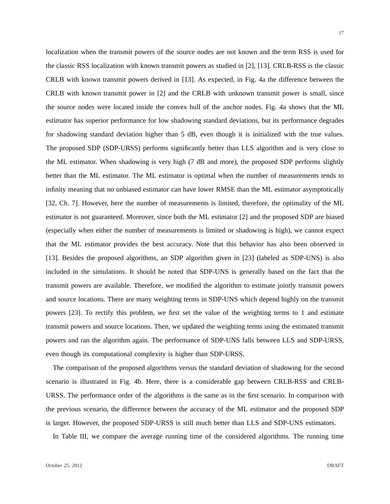localization when the transmit powers of the source nodes are not known and the term RSS is used for the classic RSS localization with known transmit powers as studied in [2], [13]. CRLB-RSS is the classic CRLB with known transmit powers derived in [13]. As expected, in Fig. 4a the difference between the CRLB with known transmit power in [2] and the CRLB with unknown transmit power is small, since the source nodes were located inside the convex hull of the anchor nodes. Fig. 4a shows that the ML estimator has superior performance for low shadowing standard deviations, but its performance degrades for shadowing standard deviation higher than 5 dB, even though it is initialized with the true values. The proposed SDP (SDP-URSS) performs significantly better than LLS algorithm and is very close to the ML estimator. When shadowing is very high (7 dB and more), the proposed SDP performs slightly better than the ML estimator. The ML estimator is optimal when the number of measurements tends to infinity meaning that no unbiased estimator can have lower RMSE than the ML estimator asymptotically [32, Ch. 7]. However, here the number of measurements is limited, therefore, the optimality of the ML estimator is not guaranteed. Moreover, since both the ML estimator [2] and the proposed SDP are biased (especially when either the number of measurements is limited or shadowing is high), we cannot expect that the ML estimator provides the best accuracy. Note that this behavior has also been observed in [13]. Besides the proposed algorithms, an SDP algorithm given in [23] (labeled as SDP-UNS) is also included in the simulations. It should be noted that SDP-UNS is generally based on the fact that the transmit powers are available. Therefore, we modified the algorithm to estimate jointly transmit powers and source locations. There are many weighting terms in SDP-UNS which depend highly on the transmit powers [23]. To rectify this problem, we first set the value of the weighting terms to 1 and estimate transmit powers and source locations. Then, we updated the weighting terms using the estimated transmit powers and ran the algorithm again. The performance of SDP-UNS falls between LLS and SDP-URSS, even though its computational complexity is higher than SDP-URSS.

The comparison of the proposed algorithms versus the standard deviation of shadowing for the second scenario is illustrated in Fig. 4b. Here, there is a considerable gap between CRLB-RSS and CRLB-URSS. The performance order of the algorithms is the same as in the first scenario. In comparison with the previous scenario, the difference between the accuracy of the ML estimator and the proposed SDP is larger. However, the proposed SDP-URSS is still much better than LLS and SDP-UNS estimators.

In Table III, we compare the average running time of the considered algorithms. The running time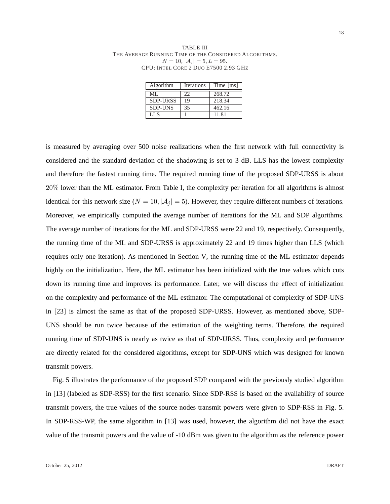TABLE III THE AVERAGE RUNNING TIME OF THE CONSIDERED ALGORITHMS.  $N = 10, |\mathcal{A}_j| = 5, L = 95.$ CPU: INTEL CORE 2 DUO E7500 2.93 GHZ

| Algorithm       | Iterations | Time [ms] |
|-----------------|------------|-----------|
| $MI$ .          | 22         | 268.72    |
| <b>SDP-URSS</b> | 19         | 218.34    |
| <b>SDP-UNS</b>  | 35         | 462.16    |
| LL S            |            | 11.81     |

is measured by averaging over 500 noise realizations when the first network with full connectivity is considered and the standard deviation of the shadowing is set to 3 dB. LLS has the lowest complexity and therefore the fastest running time. The required running time of the proposed SDP-URSS is about 20% lower than the ML estimator. From Table I, the complexity per iteration for all algorithms is almost identical for this network size ( $N = 10$ ,  $|\mathcal{A}_i| = 5$ ). However, they require different numbers of iterations. Moreover, we empirically computed the average number of iterations for the ML and SDP algorithms. The average number of iterations for the ML and SDP-URSS were 22 and 19, respectively. Consequently, the running time of the ML and SDP-URSS is approximately 22 and 19 times higher than LLS (which requires only one iteration). As mentioned in Section V, the running time of the ML estimator depends highly on the initialization. Here, the ML estimator has been initialized with the true values which cuts down its running time and improves its performance. Later, we will discuss the effect of initialization on the complexity and performance of the ML estimator. The computational of complexity of SDP-UNS in [23] is almost the same as that of the proposed SDP-URSS. However, as mentioned above, SDP-UNS should be run twice because of the estimation of the weighting terms. Therefore, the required running time of SDP-UNS is nearly as twice as that of SDP-URSS. Thus, complexity and performance are directly related for the considered algorithms, except for SDP-UNS which was designed for known transmit powers.

Fig. 5 illustrates the performance of the proposed SDP compared with the previously studied algorithm in [13] (labeled as SDP-RSS) for the first scenario. Since SDP-RSS is based on the availability of source transmit powers, the true values of the source nodes transmit powers were given to SDP-RSS in Fig. 5. In SDP-RSS-WP, the same algorithm in [13] was used, however, the algorithm did not have the exact value of the transmit powers and the value of -10 dBm was given to the algorithm as the reference power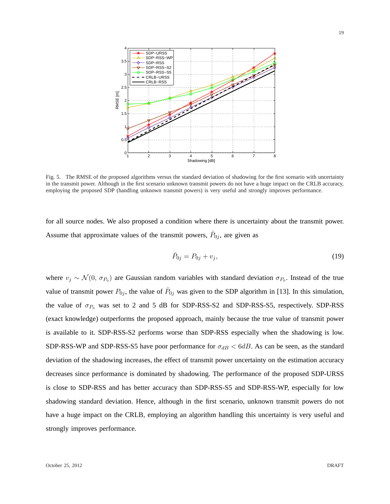

Fig. 5. The RMSE of the proposed algorithms versus the standard deviation of shadowing for the first scenario with uncertainty in the transmit power. Although in the first scenario unknown transmit powers do not have a huge impact on the CRLB accuracy, employing the proposed SDP (handling unknown transmit powers) is very useful and strongly improves performance.

for all source nodes. We also proposed a condition where there is uncertainty about the transmit power. Assume that approximate values of the transmit powers,  $\bar{P}_{0j}$ , are given as

$$
\bar{P}_{0j} = P_{0j} + v_j,\tag{19}
$$

where  $v_j \sim \mathcal{N}(0, \sigma_{P_0})$  are Gaussian random variables with standard deviation  $\sigma_{P_0}$ . Instead of the true value of transmit power  $P_{0j}$ , the value of  $\bar{P}_{0j}$  was given to the SDP algorithm in [13]. In this simulation, the value of  $\sigma_{P_0}$  was set to 2 and 5 dB for SDP-RSS-S2 and SDP-RSS-S5, respectively. SDP-RSS (exact knowledge) outperforms the proposed approach, mainly because the true value of transmit power is available to it. SDP-RSS-S2 performs worse than SDP-RSS especially when the shadowing is low. SDP-RSS-WP and SDP-RSS-S5 have poor performance for  $\sigma_{dB} < 6dB$ . As can be seen, as the standard deviation of the shadowing increases, the effect of transmit power uncertainty on the estimation accuracy decreases since performance is dominated by shadowing. The performance of the proposed SDP-URSS is close to SDP-RSS and has better accuracy than SDP-RSS-S5 and SDP-RSS-WP, especially for low shadowing standard deviation. Hence, although in the first scenario, unknown transmit powers do not have a huge impact on the CRLB, employing an algorithm handling this uncertainty is very useful and strongly improves performance.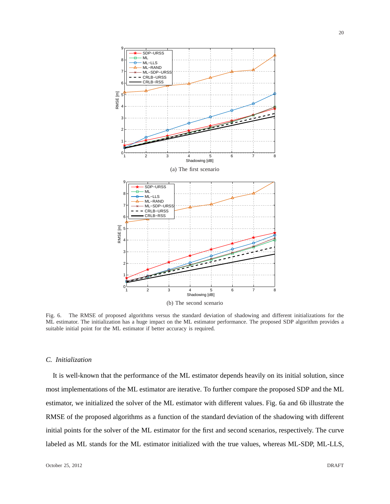

Fig. 6. The RMSE of proposed algorithms versus the standard deviation of shadowing and different initializations for the ML estimator. The initialization has a huge impact on the ML estimator performance. The proposed SDP algorithm provides a suitable initial point for the ML estimator if better accuracy is required.

# *C. Initialization*

It is well-known that the performance of the ML estimator depends heavily on its initial solution, since most implementations of the ML estimator are iterative. To further compare the proposed SDP and the ML estimator, we initialized the solver of the ML estimator with different values. Fig. 6a and 6b illustrate the RMSE of the proposed algorithms as a function of the standard deviation of the shadowing with different initial points for the solver of the ML estimator for the first and second scenarios, respectively. The curve labeled as ML stands for the ML estimator initialized with the true values, whereas ML-SDP, ML-LLS,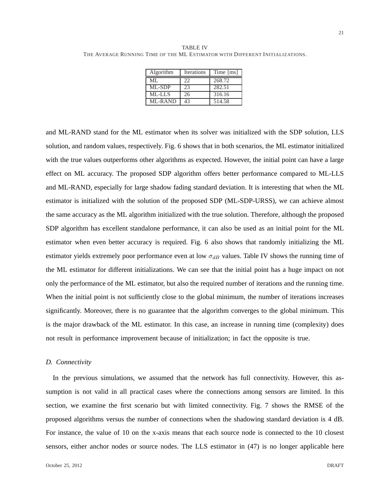TABLE IV THE AVERAGE RUNNING TIME OF THE ML ESTIMATOR WITH DIFFERENT INITIALIZATIONS.

| Algorithm      | <b>Iterations</b> | Time [ms] |
|----------------|-------------------|-----------|
| ML.            | 22                | 268.72    |
| ML-SDP         | 23                | 282.51    |
| ML-LLS         | 26                | 316.16    |
| <b>ML-RAND</b> | 43                | 514.58    |

and ML-RAND stand for the ML estimator when its solver was initialized with the SDP solution, LLS solution, and random values, respectively. Fig. 6 shows that in both scenarios, the ML estimator initialized with the true values outperforms other algorithms as expected. However, the initial point can have a large effect on ML accuracy. The proposed SDP algorithm offers better performance compared to ML-LLS and ML-RAND, especially for large shadow fading standard deviation. It is interesting that when the ML estimator is initialized with the solution of the proposed SDP (ML-SDP-URSS), we can achieve almost the same accuracy as the ML algorithm initialized with the true solution. Therefore, although the proposed SDP algorithm has excellent standalone performance, it can also be used as an initial point for the ML estimator when even better accuracy is required. Fig. 6 also shows that randomly initializing the ML estimator yields extremely poor performance even at low  $\sigma_{dB}$  values. Table IV shows the running time of the ML estimator for different initializations. We can see that the initial point has a huge impact on not only the performance of the ML estimator, but also the required number of iterations and the running time. When the initial point is not sufficiently close to the global minimum, the number of iterations increases significantly. Moreover, there is no guarantee that the algorithm converges to the global minimum. This is the major drawback of the ML estimator. In this case, an increase in running time (complexity) does not result in performance improvement because of initialization; in fact the opposite is true.

# *D. Connectivity*

In the previous simulations, we assumed that the network has full connectivity. However, this assumption is not valid in all practical cases where the connections among sensors are limited. In this section, we examine the first scenario but with limited connectivity. Fig. 7 shows the RMSE of the proposed algorithms versus the number of connections when the shadowing standard deviation is 4 dB. For instance, the value of 10 on the x-axis means that each source node is connected to the 10 closest sensors, either anchor nodes or source nodes. The LLS estimator in (47) is no longer applicable here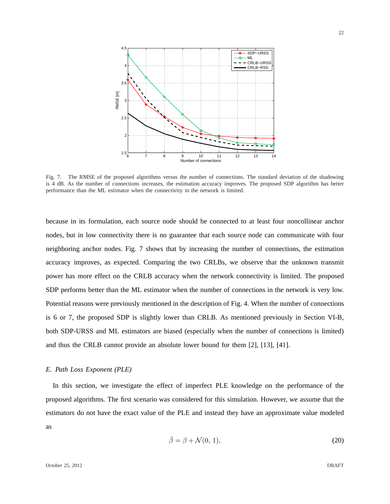

Fig. 7. The RMSE of the proposed algorithms versus the number of connections. The standard deviation of the shadowing is 4 dB. As the number of connections increases, the estimation accuracy improves. The proposed SDP algorithm has better performance than the ML estimator when the connectivity in the network is limited.

because in its formulation, each source node should be connected to at least four noncollinear anchor nodes, but in low connectivity there is no guarantee that each source node can communicate with four neighboring anchor nodes. Fig. 7 shows that by increasing the number of connections, the estimation accuracy improves, as expected. Comparing the two CRLBs, we observe that the unknown transmit power has more effect on the CRLB accuracy when the network connectivity is limited. The proposed SDP performs better than the ML estimator when the number of connections in the network is very low. Potential reasons were previously mentioned in the description of Fig. 4. When the number of connections is 6 or 7, the proposed SDP is slightly lower than CRLB. As mentioned previously in Section VI-B, both SDP-URSS and ML estimators are biased (especially when the number of connections is limited) and thus the CRLB cannot provide an absolute lower bound for them [2], [13], [41].

## *E. Path Loss Exponent (PLE)*

In this section, we investigate the effect of imperfect PLE knowledge on the performance of the proposed algorithms. The first scenario was considered for this simulation. However, we assume that the estimators do not have the exact value of the PLE and instead they have an approximate value modeled as

$$
\bar{\beta} = \beta + \mathcal{N}(0, 1),\tag{20}
$$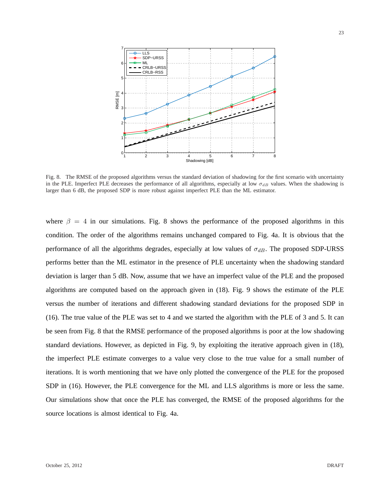

Fig. 8. The RMSE of the proposed algorithms versus the standard deviation of shadowing for the first scenario with uncertainty in the PLE. Imperfect PLE decreases the performance of all algorithms, especially at low  $\sigma_{dB}$  values. When the shadowing is larger than 6 dB, the proposed SDP is more robust against imperfect PLE than the ML estimator.

where  $\beta = 4$  in our simulations. Fig. 8 shows the performance of the proposed algorithms in this condition. The order of the algorithms remains unchanged compared to Fig. 4a. It is obvious that the performance of all the algorithms degrades, especially at low values of  $\sigma_{dB}$ . The proposed SDP-URSS performs better than the ML estimator in the presence of PLE uncertainty when the shadowing standard deviation is larger than 5 dB. Now, assume that we have an imperfect value of the PLE and the proposed algorithms are computed based on the approach given in (18). Fig. 9 shows the estimate of the PLE versus the number of iterations and different shadowing standard deviations for the proposed SDP in (16). The true value of the PLE was set to 4 and we started the algorithm with the PLE of 3 and 5. It can be seen from Fig. 8 that the RMSE performance of the proposed algorithms is poor at the low shadowing standard deviations. However, as depicted in Fig. 9, by exploiting the iterative approach given in (18), the imperfect PLE estimate converges to a value very close to the true value for a small number of iterations. It is worth mentioning that we have only plotted the convergence of the PLE for the proposed SDP in (16). However, the PLE convergence for the ML and LLS algorithms is more or less the same. Our simulations show that once the PLE has converged, the RMSE of the proposed algorithms for the source locations is almost identical to Fig. 4a.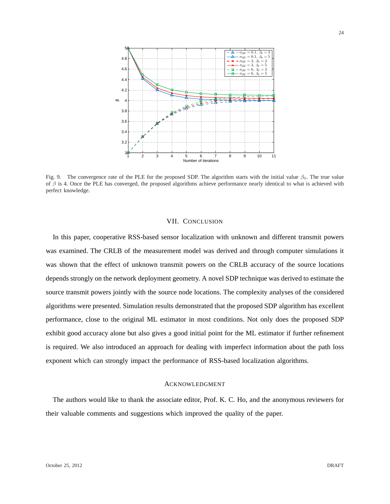

Fig. 9. The convergence rate of the PLE for the proposed SDP. The algorithm starts with the initial value  $\beta_0$ . The true value of  $\beta$  is 4. Once the PLE has converged, the proposed algorithms achieve performance nearly identical to what is achieved with perfect knowledge.

# VII. CONCLUSION

In this paper, cooperative RSS-based sensor localization with unknown and different transmit powers was examined. The CRLB of the measurement model was derived and through computer simulations it was shown that the effect of unknown transmit powers on the CRLB accuracy of the source locations depends strongly on the network deployment geometry. A novel SDP technique was derived to estimate the source transmit powers jointly with the source node locations. The complexity analyses of the considered algorithms were presented. Simulation results demonstrated that the proposed SDP algorithm has excellent performance, close to the original ML estimator in most conditions. Not only does the proposed SDP exhibit good accuracy alone but also gives a good initial point for the ML estimator if further refinement is required. We also introduced an approach for dealing with imperfect information about the path loss exponent which can strongly impact the performance of RSS-based localization algorithms.

# ACKNOWLEDGMENT

The authors would like to thank the associate editor, Prof. K. C. Ho, and the anonymous reviewers for their valuable comments and suggestions which improved the quality of the paper.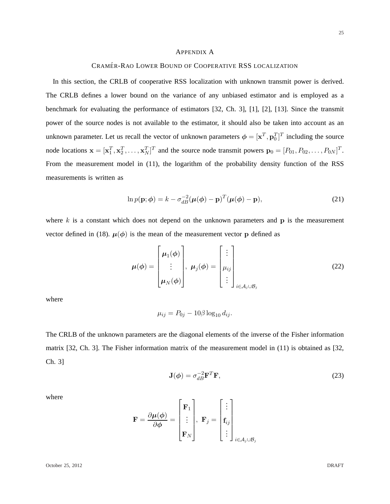## APPENDIX A

# CRAMÉR-RAO LOWER BOUND OF COOPERATIVE RSS LOCALIZATION

In this section, the CRLB of cooperative RSS localization with unknown transmit power is derived. The CRLB defines a lower bound on the variance of any unbiased estimator and is employed as a benchmark for evaluating the performance of estimators [32, Ch. 3], [1], [2], [13]. Since the transmit power of the source nodes is not available to the estimator, it should also be taken into account as an unknown parameter. Let us recall the vector of unknown parameters  $\phi = [\mathbf{x}^T, \mathbf{p}_0^T]^T$  including the source node locations  $\mathbf{x} = [\mathbf{x}_1^T, \mathbf{x}_2^T, \dots, \mathbf{x}_N^T]^T$  and the source node transmit powers  $\mathbf{p}_0 = [P_{01}, P_{02}, \dots, P_{0N}]^T$ . From the measurement model in (11), the logarithm of the probability density function of the RSS measurements is written as

$$
\ln p(\mathbf{p}; \boldsymbol{\phi}) = k - \sigma_{dB}^{-2} (\boldsymbol{\mu}(\boldsymbol{\phi}) - \mathbf{p})^T (\boldsymbol{\mu}(\boldsymbol{\phi}) - \mathbf{p}), \tag{21}
$$

where  $k$  is a constant which does not depend on the unknown parameters and  $p$  is the measurement vector defined in (18).  $\mu(\phi)$  is the mean of the measurement vector p defined as

$$
\boldsymbol{\mu}(\boldsymbol{\phi}) = \begin{bmatrix} \boldsymbol{\mu}_1(\boldsymbol{\phi}) \\ \vdots \\ \boldsymbol{\mu}_N(\boldsymbol{\phi}) \end{bmatrix}, \ \boldsymbol{\mu}_j(\boldsymbol{\phi}) = \begin{bmatrix} \vdots \\ \mu_{ij} \\ \vdots \end{bmatrix}_{i \in A_j \cup B_j}
$$
(22)

where

$$
\mu_{ij}=P_{0j}-10\beta\log_{10}d_{ij}.
$$

The CRLB of the unknown parameters are the diagonal elements of the inverse of the Fisher information matrix [32, Ch. 3]. The Fisher information matrix of the measurement model in (11) is obtained as [32, Ch. 3]

$$
\mathbf{J}(\phi) = \sigma_{dB}^{-2} \mathbf{F}^T \mathbf{F},\tag{23}
$$

where

$$
\mathbf{F} = \frac{\partial \mu(\phi)}{\partial \phi} = \begin{bmatrix} \mathbf{F}_1 \\ \vdots \\ \mathbf{F}_N \end{bmatrix}, \ \mathbf{F}_j = \begin{bmatrix} \vdots \\ \mathbf{f}_{ij} \\ \vdots \\ \vdots \end{bmatrix}_{i \in \mathcal{A}_j \cup \mathcal{B}_j}
$$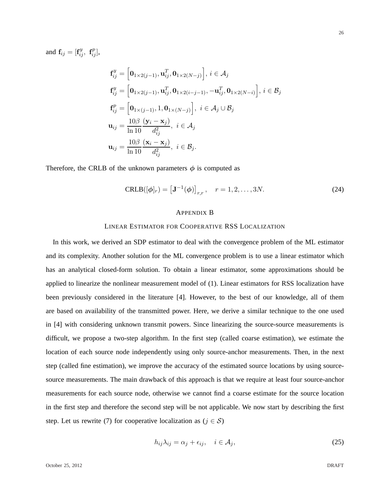and  $\mathbf{f}_{ij} = [\mathbf{f}_{ij}^y, \ \mathbf{f}_{ij}^p],$ 

$$
\mathbf{f}_{ij}^y = \left[\mathbf{0}_{1\times 2(j-1)}, \mathbf{u}_{ij}^T, \mathbf{0}_{1\times 2(N-j)}\right], i \in \mathcal{A}_j
$$
\n
$$
\mathbf{f}_{ij}^y = \left[\mathbf{0}_{1\times 2(j-1)}, \mathbf{u}_{ij}^T, \mathbf{0}_{1\times 2(i-j-1)}, -\mathbf{u}_{ij}^T, \mathbf{0}_{1\times 2(N-i)}\right], i \in \mathcal{B}_j
$$
\n
$$
\mathbf{f}_{ij}^p = \left[\mathbf{0}_{1\times (j-1)}, 1, \mathbf{0}_{1\times (N-j)}\right], i \in \mathcal{A}_j \cup \mathcal{B}_j
$$
\n
$$
\mathbf{u}_{ij} = \frac{10\beta}{\ln 10} \frac{(\mathbf{y}_i - \mathbf{x}_j)}{d_{ij}^2}, i \in \mathcal{A}_j
$$
\n
$$
\mathbf{u}_{ij} = \frac{10\beta}{\ln 10} \frac{(\mathbf{x}_i - \mathbf{x}_j)}{d_{ij}^2}, i \in \mathcal{B}_j.
$$

Therefore, the CRLB of the unknown parameters  $\phi$  is computed as

$$
CRLB([\phi]_r) = [\mathbf{J}^{-1}(\phi)]_{r,r}, \quad r = 1, 2, ..., 3N. \tag{24}
$$

#### APPENDIX B

## LINEAR ESTIMATOR FOR COOPERATIVE RSS LOCALIZATION

In this work, we derived an SDP estimator to deal with the convergence problem of the ML estimator and its complexity. Another solution for the ML convergence problem is to use a linear estimator which has an analytical closed-form solution. To obtain a linear estimator, some approximations should be applied to linearize the nonlinear measurement model of (1). Linear estimators for RSS localization have been previously considered in the literature [4]. However, to the best of our knowledge, all of them are based on availability of the transmitted power. Here, we derive a similar technique to the one used in [4] with considering unknown transmit powers. Since linearizing the source-source measurements is difficult, we propose a two-step algorithm. In the first step (called coarse estimation), we estimate the location of each source node independently using only source-anchor measurements. Then, in the next step (called fine estimation), we improve the accuracy of the estimated source locations by using sourcesource measurements. The main drawback of this approach is that we require at least four source-anchor measurements for each source node, otherwise we cannot find a coarse estimate for the source location in the first step and therefore the second step will be not applicable. We now start by describing the first step. Let us rewrite (7) for cooperative localization as ( $j \in S$ )

$$
h_{ij}\lambda_{ij} = \alpha_j + \epsilon_{ij}, \quad i \in \mathcal{A}_j,
$$
\n(25)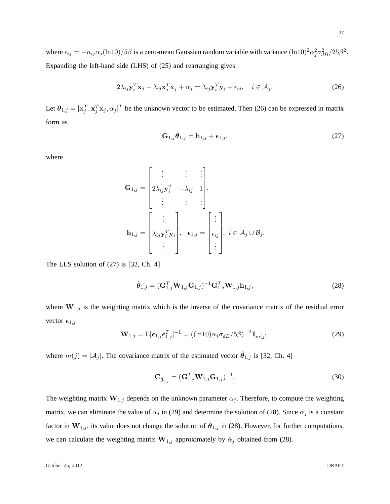where  $\epsilon_{ij} = -n_{ij}\alpha_j (\ln 10)/5\beta$  is a zero-mean Gaussian random variable with variance  $(\ln 10)^2 \alpha_j^2 \sigma_{dB}^2/25\beta^2$ . Expanding the left-hand side (LHS) of (25) and rearranging gives

$$
2\lambda_{ij}\mathbf{y}_i^T\mathbf{x}_j - \lambda_{ij}\mathbf{x}_j^T\mathbf{x}_j + \alpha_j = \lambda_{ij}\mathbf{y}_i^T\mathbf{y}_i + \epsilon_{ij}, \quad i \in \mathcal{A}_j.
$$
 (26)

Let  $\theta_{1,j} = [\mathbf{x}_j^T, \mathbf{x}_j^T, \mathbf{x}_j, \alpha_j]^T$  be the unknown vector to be estimated. Then (26) can be expressed in matrix form as

$$
\mathbf{G}_{1,j}\boldsymbol{\theta}_{1,j} = \mathbf{h}_{1,j} + \boldsymbol{\epsilon}_{1,j},\tag{27}
$$

where

$$
\mathbf{G}_{1,j} = \begin{bmatrix} \vdots & \vdots & \vdots \\ 2\lambda_{ij}\mathbf{y}_i^T & -\lambda_{ij} & 1 \\ \vdots & \vdots & \vdots \end{bmatrix},
$$

$$
\mathbf{h}_{1,j} = \begin{bmatrix} \vdots & \vdots & \vdots \\ \lambda_{ij}\mathbf{y}_i^T\mathbf{y}_i & \cdot & \epsilon_{1,j} = \begin{bmatrix} \vdots & \vdots & \vdots & \vdots \\ \epsilon_{ij} & \cdot & \cdot & \epsilon \end{bmatrix}, i \in \mathcal{A}_j \cup \mathcal{B}_j.
$$

The LLS solution of (27) is [32, Ch. 4]

$$
\hat{\boldsymbol{\theta}}_{1,j} = (\mathbf{G}_{1,j}^T \mathbf{W}_{1,j} \mathbf{G}_{1,j})^{-1} \mathbf{G}_{1,j}^T \mathbf{W}_{1,j} \mathbf{h}_{1,j},
$$
\n(28)

where  $W_{1,j}$  is the weighting matrix which is the inverse of the covariance matrix of the residual error vector  $\epsilon_{1,j}$ 

$$
\mathbf{W}_{1,j} = \mathbf{E}[\boldsymbol{\epsilon}_{1,j}\boldsymbol{\epsilon}_{1,j}^T]^{-1} = ((\ln 10)\alpha_j \sigma_{dB}/5\beta)^{-2} \mathbf{I}_{m(j)}.
$$
\n(29)

where  $m(j) = |\mathcal{A}_j|$ . The covariance matrix of the estimated vector  $\hat{\theta}_{1,j}$  is [32, Ch. 4]

$$
\mathbf{C}_{\hat{\theta}_{1,j}} = (\mathbf{G}_{1,j}^T \mathbf{W}_{1,j} \mathbf{G}_{1,j})^{-1}.
$$
\n(30)

The weighting matrix  $\mathbf{W}_{1,j}$  depends on the unknown parameter  $\alpha_j$ . Therefore, to compute the weighting matrix, we can eliminate the value of  $\alpha_j$  in (29) and determine the solution of (28). Since  $\alpha_j$  is a constant factor in  $W_{1,j}$ , its value does not change the solution of  $\hat{\theta}_{1,j}$  in (28). However, for further computations, we can calculate the weighting matrix  $W_{1,j}$  approximately by  $\hat{\alpha}_j$  obtained from (28).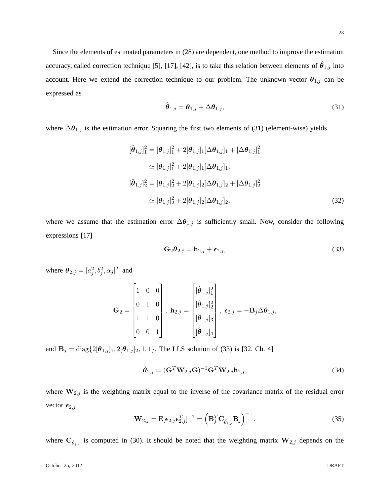Since the elements of estimated parameters in (28) are dependent, one method to improve the estimation accuracy, called correction technique [5], [17], [42], is to take this relation between elements of  $\hat{\theta}_{1,j}$  into account. Here we extend the correction technique to our problem. The unknown vector  $\theta_{1,j}$  can be expressed as

$$
\hat{\boldsymbol{\theta}}_{1,j} = \boldsymbol{\theta}_{1,j} + \Delta \boldsymbol{\theta}_{1,j},\tag{31}
$$

where  $\Delta\theta_{1,j}$  is the estimation error. Squaring the first two elements of (31) (element-wise) yields

$$
[\hat{\theta}_{1,j}]_1^2 = [\theta_{1,j}]_1^2 + 2[\theta_{1,j}]_1 [\Delta \theta_{1,j}]_1 + [\Delta \theta_{1,j}]_1^2
$$
  
\n
$$
\simeq [\theta_{1,j}]_1^2 + 2[\theta_{1,j}]_1 [\Delta \theta_{1,j}]_1,
$$
  
\n
$$
[\hat{\theta}_{1,j}]_2^2 = [\theta_{1,j}]_2^2 + 2[\theta_{1,j}]_2 [\Delta \theta_{1,j}]_2 + [\Delta \theta_{1,j}]_2^2
$$
  
\n
$$
\simeq [\theta_{1,j}]_2^2 + 2[\theta_{1,j}]_2 [\Delta \theta_{1,j}]_2,
$$
\n(32)

where we assume that the estimation error  $\Delta\theta_{1,j}$  is sufficiently small. Now, consider the following expressions [17]

$$
\mathbf{G}_2 \boldsymbol{\theta}_{2,j} = \mathbf{h}_{2,j} + \boldsymbol{\epsilon}_{2,j},\tag{33}
$$

where  $\boldsymbol{\theta}_{2,j} = [a_j^2, b_j^2, \alpha_j]^T$  and

$$
\mathbf{G}_2 = \begin{bmatrix} 1 & 0 & 0 \\ 0 & 1 & 0 \\ 1 & 1 & 0 \\ 0 & 0 & 1 \end{bmatrix}, \ \mathbf{h}_{2,j} = \begin{bmatrix} [\hat{\boldsymbol{\theta}}_{1,j}]_1^2 \\ [\hat{\boldsymbol{\theta}}_{1,j}]_2^2 \\ [\hat{\boldsymbol{\theta}}_{1,j}]_3 \\ [\hat{\boldsymbol{\theta}}_{1,j}]_4 \end{bmatrix}, \ \boldsymbol{\epsilon}_{2,j} = -\mathbf{B}_j \Delta \boldsymbol{\theta}_{1,j},
$$

and  $B_j = \text{diag}\{2[\theta_{1,j}]_1, 2[\theta_{1,j}]_2, 1, 1\}$ . The LLS solution of (33) is [32, Ch. 4]

$$
\hat{\boldsymbol{\theta}}_{2,j} = (\mathbf{G}^T \mathbf{W}_{2,j} \mathbf{G})^{-1} \mathbf{G}^T \mathbf{W}_{2,j} \mathbf{h}_{2,j},
$$
\n(34)

where  $W_{2,j}$  is the weighting matrix equal to the inverse of the covariance matrix of the residual error vector  $\epsilon_{2,j}$ 

$$
\mathbf{W}_{2,j} = \mathbf{E}[\boldsymbol{\epsilon}_{2,j}\boldsymbol{\epsilon}_{2,j}^T]^{-1} = \left(\mathbf{B}_j^T \mathbf{C}_{\hat{\theta}_{1,j}} \mathbf{B}_j\right)^{-1},\tag{35}
$$

where  $\mathbf{C}_{\hat{\theta}_{1,j}}$  is computed in (30). It should be noted that the weighting matrix  $\mathbf{W}_{2,j}$  depends on the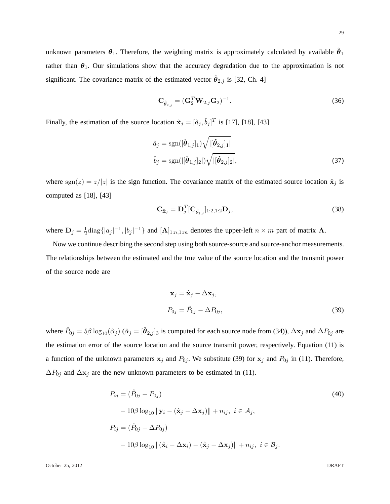unknown parameters  $\theta_1$ . Therefore, the weighting matrix is approximately calculated by available  $\hat{\theta}_1$ rather than  $\theta_1$ . Our simulations show that the accuracy degradation due to the approximation is not significant. The covariance matrix of the estimated vector  $\hat{\theta}_{2,j}$  is [32, Ch. 4]

$$
\mathbf{C}_{\hat{\theta}_{2,j}} = (\mathbf{G}_2^T \mathbf{W}_{2,j} \mathbf{G}_2)^{-1}.
$$
 (36)

Finally, the estimation of the source location  $\hat{\mathbf{x}}_j = [\hat{a}_j, \hat{b}_j]^T$  is [17], [18], [43]

$$
\hat{a}_{j} = \text{sgn}([\hat{\boldsymbol{\theta}}_{1,j}]_{1}) \sqrt{|[\hat{\boldsymbol{\theta}}_{2,j}]_{1}|}\n\n\hat{b}_{j} = \text{sgn}(|[\hat{\boldsymbol{\theta}}_{1,j}]_{2}|) \sqrt{|[\hat{\boldsymbol{\theta}}_{2,j}]_{2}|},
$$
\n(37)

where sgn(z) =  $z/|z|$  is the sign function. The covariance matrix of the estimated source location  $\hat{\mathbf{x}}_j$  is computed as [18], [43]

$$
\mathbf{C}_{\hat{\mathbf{x}}_j} = \mathbf{D}_j^T [\mathbf{C}_{\hat{\theta}_{2,j}}]_{1:2,1:2} \mathbf{D}_j,
$$
\n(38)

where  $\mathbf{D}_j = \frac{1}{2} \text{diag} \{|a_j|^{-1}, |b_j|^{-1}\}\$  and  $[\mathbf{A}]_{1:n,1:m}$  denotes the upper-left  $n \times m$  part of matrix **A**.

Now we continue describing the second step using both source-source and source-anchor measurements. The relationships between the estimated and the true value of the source location and the transmit power of the source node are

$$
\mathbf{x}_{j} = \hat{\mathbf{x}}_{j} - \Delta \mathbf{x}_{j},
$$
  
\n
$$
P_{0j} = \hat{P}_{0j} - \Delta P_{0j},
$$
\n(39)

where  $\hat{P}_{0j} = 5\beta \log_{10}(\hat{\alpha}_j)$  ( $\hat{\alpha}_j = [\hat{\theta}_{2,j}]_3$  is computed for each source node from (34)),  $\Delta x_j$  and  $\Delta P_{0j}$  are the estimation error of the source location and the source transmit power, respectively. Equation (11) is a function of the unknown parameters  $x_j$  and  $P_{0j}$ . We substitute (39) for  $x_j$  and  $P_{0j}$  in (11). Therefore,  $\Delta P_{0j}$  and  $\Delta \mathbf{x}_j$  are the new unknown parameters to be estimated in (11).

$$
P_{ij} = (\hat{P}_{0j} - P_{0j})
$$
  
\n
$$
-10\beta \log_{10} ||\mathbf{y}_i - (\hat{\mathbf{x}}_j - \Delta \mathbf{x}_j)|| + n_{ij}, \ i \in \mathcal{A}_j,
$$
  
\n
$$
P_{ij} = (\hat{P}_{0j} - \Delta P_{0j})
$$
  
\n
$$
-10\beta \log_{10} ||(\hat{\mathbf{x}}_i - \Delta \mathbf{x}_i) - (\hat{\mathbf{x}}_j - \Delta \mathbf{x}_j)|| + n_{ij}, \ i \in \mathcal{B}_j.
$$
\n(40)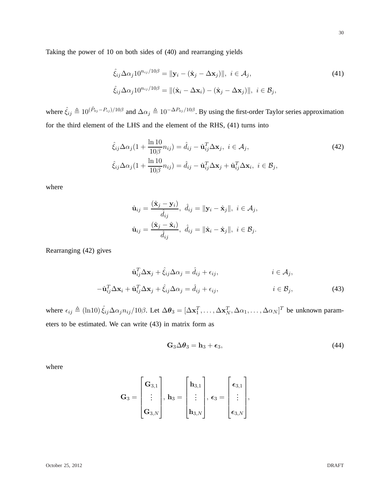Taking the power of 10 on both sides of (40) and rearranging yields

$$
\hat{\xi}_{ij}\Delta\alpha_j10^{n_{ij}/10\beta} = \|\mathbf{y}_i - (\hat{\mathbf{x}}_j - \Delta\mathbf{x}_j)\|, \ i \in \mathcal{A}_j,
$$
  

$$
\hat{\xi}_{ij}\Delta\alpha_j10^{n_{ij}/10\beta} = \|(\hat{\mathbf{x}}_i - \Delta\mathbf{x}_i) - (\hat{\mathbf{x}}_j - \Delta\mathbf{x}_j)\|, \ i \in \mathcal{B}_j,
$$
\n(41)

where  $\hat{\xi}_{ij} \triangleq 10^{(\hat{P}_{0j}-P_{ij})/10\beta}$  and  $\Delta \alpha_j \triangleq 10^{-\Delta P_{0j}/10\beta}$ . By using the first-order Taylor series approximation for the third element of the LHS and the element of the RHS, (41) turns into

$$
\hat{\xi}_{ij}\Delta\alpha_j(1+\frac{\ln 10}{10\beta}n_{ij}) = \hat{d}_{ij} - \hat{\mathbf{u}}_{ij}^T\Delta\mathbf{x}_j, \ i \in \mathcal{A}_j,
$$
  

$$
\hat{\xi}_{ij}\Delta\alpha_j(1+\frac{\ln 10}{10\beta}n_{ij}) = \hat{d}_{ij} - \hat{\mathbf{u}}_{ij}^T\Delta\mathbf{x}_j + \hat{\mathbf{u}}_{ij}^T\Delta\mathbf{x}_i, \ i \in \mathcal{B}_j,
$$
\n(42)

where

$$
\hat{\mathbf{u}}_{ij} = \frac{(\hat{\mathbf{x}}_j - \mathbf{y}_i)}{\hat{d}_{ij}}, \ \hat{d}_{ij} = \|\mathbf{y}_i - \hat{\mathbf{x}}_j\|, \ i \in \mathcal{A}_j,
$$

$$
\hat{\mathbf{u}}_{ij} = \frac{(\hat{\mathbf{x}}_j - \hat{\mathbf{x}}_i)}{\hat{d}_{ij}}, \ \hat{d}_{ij} = \|\hat{\mathbf{x}}_i - \hat{\mathbf{x}}_j\|, \ i \in \mathcal{B}_j.
$$

Rearranging (42) gives

$$
\hat{\mathbf{u}}_{ij}^T \Delta \mathbf{x}_j + \hat{\xi}_{ij} \Delta \alpha_j = \hat{d}_{ij} + \epsilon_{ij}, \qquad i \in \mathcal{A}_j,
$$
  

$$
-\hat{\mathbf{u}}_{ij}^T \Delta \mathbf{x}_i + \hat{\mathbf{u}}_{ij}^T \Delta \mathbf{x}_j + \hat{\xi}_{ij} \Delta \alpha_j = \hat{d}_{ij} + \epsilon_{ij}, \qquad i \in \mathcal{B}_j,
$$
 (43)

where  $\epsilon_{ij} \triangleq (\ln 10) \hat{\xi}_{ij} \Delta \alpha_j n_{ij}/10\beta$ . Let  $\Delta \theta_3 = [\Delta \mathbf{x}_1^T, \dots, \Delta \mathbf{x}_N^T, \Delta \alpha_1, \dots, \Delta \alpha_N]^T$  be unknown parameters to be estimated. We can write (43) in matrix form as

$$
\mathbf{G}_3 \Delta \boldsymbol{\theta}_3 = \mathbf{h}_3 + \boldsymbol{\epsilon}_3, \tag{44}
$$

where

$$
\mathbf{G}_3 = \begin{bmatrix} \mathbf{G}_{3,1} \\ \vdots \\ \mathbf{G}_{3,N} \end{bmatrix}, \, \mathbf{h}_3 = \begin{bmatrix} \mathbf{h}_{3,1} \\ \vdots \\ \mathbf{h}_{3,N} \end{bmatrix}, \, \boldsymbol{\epsilon}_3 = \begin{bmatrix} \boldsymbol{\epsilon}_{3,1} \\ \vdots \\ \boldsymbol{\epsilon}_{3,N} \end{bmatrix},
$$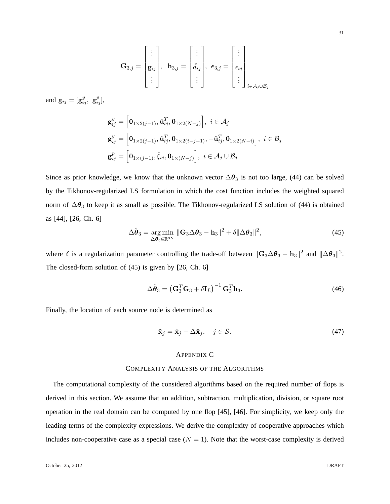$$
\mathbf{G}_{3,j} = \begin{bmatrix} \vdots \\ \mathbf{g}_{ij} \\ \vdots \end{bmatrix}, \ \ \mathbf{h}_{3,j} = \begin{bmatrix} \vdots \\ \hat{d}_{ij} \\ \vdots \end{bmatrix}, \ \ \boldsymbol{\epsilon}_{3,j} = \begin{bmatrix} \vdots \\ \epsilon_{ij} \\ \vdots \end{bmatrix}_{i \in \mathcal{A}_j \cup \mathcal{B}_j}
$$

and  $\mathbf{g}_{ij} = [\mathbf{g}_{ij}^y, \ \mathbf{g}_{ij}^p],$ 

$$
\mathbf{g}_{ij}^y = \left[\mathbf{0}_{1\times 2(j-1)}, \hat{\mathbf{u}}_{ij}^T, \mathbf{0}_{1\times 2(N-j)}\right], i \in \mathcal{A}_j
$$
  
\n
$$
\mathbf{g}_{ij}^y = \left[\mathbf{0}_{1\times 2(j-1)}, \hat{\mathbf{u}}_{ij}^T, \mathbf{0}_{1\times 2(i-j-1)}, -\hat{\mathbf{u}}_{ij}^T, \mathbf{0}_{1\times 2(N-i)}\right], i \in \mathcal{B}_j
$$
  
\n
$$
\mathbf{g}_{ij}^p = \left[\mathbf{0}_{1\times (j-1)}, \hat{\xi}_{ij}, \mathbf{0}_{1\times (N-j)}\right], i \in \mathcal{A}_j \cup \mathcal{B}_j
$$

Since as prior knowledge, we know that the unknown vector  $\Delta\theta_3$  is not too large, (44) can be solved by the Tikhonov-regularized LS formulation in which the cost function includes the weighted squared norm of  $\Delta\theta_3$  to keep it as small as possible. The Tikhonov-regularized LS solution of (44) is obtained as [44], [26, Ch. 6]

$$
\Delta \hat{\boldsymbol{\theta}}_3 = \underset{\Delta \boldsymbol{\theta}_3 \in \mathbb{R}^{3N}}{\arg \min} \|\mathbf{G}_3 \Delta \boldsymbol{\theta}_3 - \mathbf{h}_3\|^2 + \delta \|\Delta \boldsymbol{\theta}_3\|^2, \tag{45}
$$

where  $\delta$  is a regularization parameter controlling the trade-off between  $\|\mathbf{G}_3\Delta\boldsymbol{\theta}_3 - \mathbf{h}_3\|^2$  and  $\|\Delta\boldsymbol{\theta}_3\|^2$ . The closed-form solution of (45) is given by [26, Ch. 6]

$$
\Delta \hat{\boldsymbol{\theta}}_3 = \left(\mathbf{G}_3^T \mathbf{G}_3 + \delta \mathbf{I}_L\right)^{-1} \mathbf{G}_3^T \mathbf{h}_3. \tag{46}
$$

Finally, the location of each source node is determined as

$$
\tilde{\mathbf{x}}_j = \hat{\mathbf{x}}_j - \Delta \hat{\mathbf{x}}_j, \quad j \in \mathcal{S}.\tag{47}
$$

## APPENDIX C

# COMPLEXITY ANALYSIS OF THE ALGORITHMS

The computational complexity of the considered algorithms based on the required number of flops is derived in this section. We assume that an addition, subtraction, multiplication, division, or square root operation in the real domain can be computed by one flop [45], [46]. For simplicity, we keep only the leading terms of the complexity expressions. We derive the complexity of cooperative approaches which includes non-cooperative case as a special case  $(N = 1)$ . Note that the worst-case complexity is derived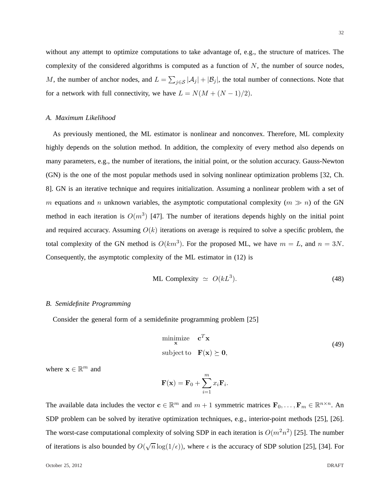without any attempt to optimize computations to take advantage of, e.g., the structure of matrices. The complexity of the considered algorithms is computed as a function of  $N$ , the number of source nodes, M, the number of anchor nodes, and  $L = \sum_{j \in S} |\mathcal{A}_j| + |\mathcal{B}_j|$ , the total number of connections. Note that for a network with full connectivity, we have  $L = N(M + (N - 1)/2)$ .

# *A. Maximum Likelihood*

As previously mentioned, the ML estimator is nonlinear and nonconvex. Therefore, ML complexity highly depends on the solution method. In addition, the complexity of every method also depends on many parameters, e.g., the number of iterations, the initial point, or the solution accuracy. Gauss-Newton (GN) is the one of the most popular methods used in solving nonlinear optimization problems [32, Ch. 8]. GN is an iterative technique and requires initialization. Assuming a nonlinear problem with a set of m equations and n unknown variables, the asymptotic computational complexity ( $m \gg n$ ) of the GN method in each iteration is  $O(m^3)$  [47]. The number of iterations depends highly on the initial point and required accuracy. Assuming  $O(k)$  iterations on average is required to solve a specific problem, the total complexity of the GN method is  $O(km^3)$ . For the proposed ML, we have  $m = L$ , and  $n = 3N$ . Consequently, the asymptotic complexity of the ML estimator in (12) is

$$
ML Complexity \simeq O(kL^3). \tag{48}
$$

# *B. Semidefinite Programming*

Consider the general form of a semidefinite programming problem [25]

$$
\begin{array}{ll}\n\text{minimize} & \mathbf{c}^T \mathbf{x} \\
\text{subject to} & \mathbf{F}(\mathbf{x}) \succeq \mathbf{0},\n\end{array} \tag{49}
$$

where  $\mathbf{x} \in \mathbb{R}^m$  and

$$
\mathbf{F}(\mathbf{x}) = \mathbf{F}_0 + \sum_{i=1}^m x_i \mathbf{F}_i.
$$

The available data includes the vector  $\mathbf{c} \in \mathbb{R}^m$  and  $m+1$  symmetric matrices  $\mathbf{F}_0, \ldots, \mathbf{F}_m \in \mathbb{R}^{n \times n}$ . An SDP problem can be solved by iterative optimization techniques, e.g., interior-point methods [25], [26]. The worst-case computational complexity of solving SDP in each iteration is  $O(m^2n^2)$  [25]. The number of iterations is also bounded by  $O(\sqrt{n}\log(1/\epsilon))$ , where  $\epsilon$  is the accuracy of SDP solution [25], [34]. For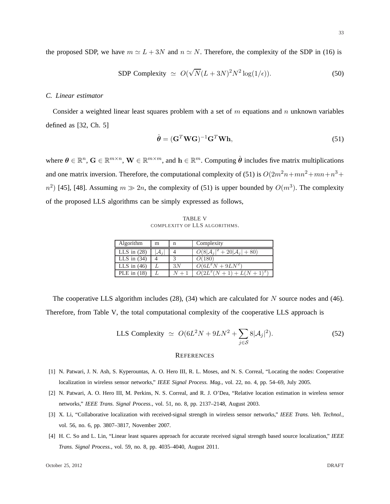$$
\text{SDP Complexity} \simeq O(\sqrt{N}(L+3N)^2 N^2 \log(1/\epsilon)). \tag{50}
$$

# *C. Linear estimator*

Consider a weighted linear least squares problem with a set of  $m$  equations and  $n$  unknown variables defined as [32, Ch. 5]

$$
\hat{\boldsymbol{\theta}} = (\mathbf{G}^T \mathbf{W} \mathbf{G})^{-1} \mathbf{G}^T \mathbf{W} \mathbf{h},\tag{51}
$$

where  $\theta \in \mathbb{R}^n$ ,  $\mathbf{G} \in \mathbb{R}^{m \times n}$ ,  $\mathbf{W} \in \mathbb{R}^{m \times m}$ , and  $\mathbf{h} \in \mathbb{R}^m$ . Computing  $\hat{\theta}$  includes five matrix multiplications and one matrix inversion. Therefore, the computational complexity of (51) is  $O(2m^2n + mn + n^3 +$  $n^2$ ) [45], [48]. Assuming  $m \gg 2n$ , the complexity of (51) is upper bounded by  $O(m^3)$ . The complexity of the proposed LLS algorithms can be simply expressed as follows,

TABLE V COMPLEXITY OF LLS ALGORITHMS.

| Algorithm     | m               | n  | Complexity                   |
|---------------|-----------------|----|------------------------------|
| LLS in $(28)$ | $\mathcal{A}_i$ |    | $O(8 A_i ^2 + 20 A_i  + 80)$ |
| LLS in $(34)$ |                 |    | O(180)                       |
| LLS in $(46)$ |                 | 3N | $O(6L^2N + 9LN^2)$           |
| PLE in $(18)$ |                 |    | $O(2L^2(N+1) + L(N+1)^2)$    |

The cooperative LLS algorithm includes  $(28)$ ,  $(34)$  which are calculated for N source nodes and  $(46)$ . Therefore, from Table V, the total computational complexity of the cooperative LLS approach is

LLS Complexity 
$$
\simeq O(6L^2N + 9LN^2 + \sum_{j \in S} 8|\mathcal{A}_j|^2).
$$
 (52)

#### **REFERENCES**

- [1] N. Patwari, J. N. Ash, S. Kyperountas, A. O. Hero III, R. L. Moses, and N. S. Correal, "Locating the nodes: Cooperative localization in wireless sensor networks," *IEEE Signal Process. Mag.*, vol. 22, no. 4, pp. 54–69, July 2005.
- [2] N. Patwari, A. O. Hero III, M. Perkins, N. S. Correal, and R. J. O'Dea, "Relative location estimation in wireless sensor networks," *IEEE Trans. Signal Process.*, vol. 51, no. 8, pp. 2137–2148, August 2003.
- [3] X. Li, "Collaborative localization with received-signal strength in wireless sensor networks," *IEEE Trans. Veh. Technol.*, vol. 56, no. 6, pp. 3807–3817, November 2007.
- [4] H. C. So and L. Lin, "Linear least squares approach for accurate received signal strength based source localization," *IEEE Trans. Signal Process.*, vol. 59, no. 8, pp. 4035–4040, August 2011.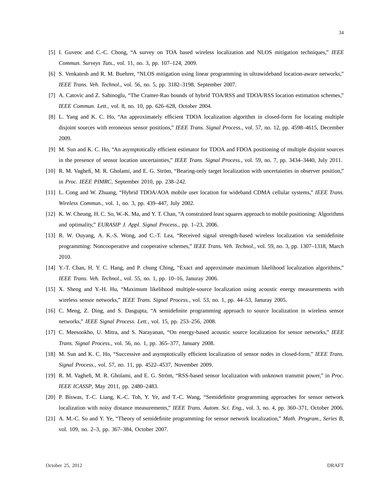- [5] I. Guvenc and C.-C. Chong, "A survey on TOA based wireless localization and NLOS mitigation techniques," *IEEE Commun. Surveys Tuts.*, vol. 11, no. 3, pp. 107–124, 2009.
- [6] S. Venkatesh and R. M. Buehrer, "NLOS mitigation using linear programming in ultrawideband location-aware networks," *IEEE Trans. Veh. Technol.*, vol. 56, no. 5, pp. 3182–3198, September 2007.
- [7] A. Catovic and Z. Sahinoglu, "The Cramer-Rao bounds of hybrid TOA/RSS and TDOA/RSS location estimation schemes," *IEEE Commun. Lett.*, vol. 8, no. 10, pp. 626–628, October 2004.
- [8] L. Yang and K. C. Ho, "An approximately efficient TDOA localization algorithm in closed-form for locating multiple disjoint sources with erroneous sensor positions," *IEEE Trans. Signal Process.*, vol. 57, no. 12, pp. 4598–4615, December 2009.
- [9] M. Sun and K. C. Ho, "An asymptotically efficient estimator for TDOA and FDOA positioning of multiple disjoint sources in the presence of sensor location uncertainties," *IEEE Trans. Signal Process.*, vol. 59, no. 7, pp. 3434–3440, July 2011.
- [10] R. M. Vaghefi, M. R. Gholami, and E. G. Ström, "Bearing-only target localization with uncertainties in observer position," in *Proc. IEEE PIMRC*, September 2010, pp. 238–242.
- [11] L. Cong and W. Zhuang, "Hybrid TDOA/AOA mobile user location for wideband CDMA cellular systems," *IEEE Trans. Wireless Commun.*, vol. 1, no. 3, pp. 439–447, July 2002.
- [12] K. W. Cheung, H. C. So, W.-K. Ma, and Y. T. Chan, "A constrained least squares approach to mobile positioning: Algorithms and optimality," *EURASIP J. Appl. Signal Process.*, pp. 1–23, 2006.
- [13] R. W. Ouyang, A. K.-S. Wong, and C.-T. Lea, "Received signal strength-based wireless localization via semidefinite programming: Noncooperative and cooperative schemes," *IEEE Trans. Veh. Technol.*, vol. 59, no. 3, pp. 1307–1318, March 2010.
- [14] Y.-T. Chan, H. Y. C. Hang, and P. chung Ching, "Exact and approximate maximum likelihood localization algorithms," *IEEE Trans. Veh. Technol.*, vol. 55, no. 1, pp. 10–16, Januray 2006.
- [15] X. Sheng and Y.-H. Hu, "Maximum likelihood multiple-source localization using acoustic energy measurements with wireless sensor networks," *IEEE Trans. Signal Process.*, vol. 53, no. 1, pp. 44–53, Januray 2005.
- [16] C. Meng, Z. Ding, and S. Dasgupta, "A semidefinite programming approach to source localization in wireless sensor networks," *IEEE Signal Process. Lett.*, vol. 15, pp. 253–256, 2008.
- [17] C. Meesookho, U. Mitra, and S. Narayanan, "On energy-based acoustic source localization for sensor networks," *IEEE Trans. Signal Process.*, vol. 56, no. 1, pp. 365–377, January 2008.
- [18] M. Sun and K. C. Ho, "Successive and asymptotically efficient localization of sensor nodes in closed-form," *IEEE Trans. Signal Process.*, vol. 57, no. 11, pp. 4522–4537, November 2009.
- [19] R. M. Vaghefi, M. R. Gholami, and E. G. Ström, "RSS-based sensor localization with unknown transmit power," in *Proc. IEEE ICASSP*, May 2011, pp. 2480–2483.
- [20] P. Biswas, T.-C. Liang, K.-C. Toh, Y. Ye, and T.-C. Wang, "Semidefinite programming approaches for sensor network localization with noisy distance measurements," *IEEE Trans. Autom. Sci. Eng.*, vol. 3, no. 4, pp. 360–371, October 2006.
- [21] A. M.-C. So and Y. Ye, "Theory of semidefinite programming for sensor network localization," *Math. Program., Series B*, vol. 109, no. 2–3, pp. 367–384, October 2007.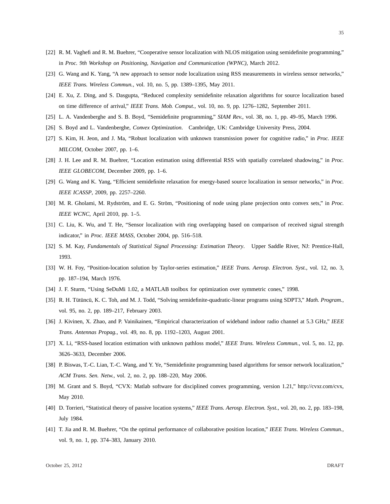- [22] R. M. Vaghefi and R. M. Buehrer, "Cooperative sensor localization with NLOS mitigation using semidefinite programming," in *Proc. 9th Workshop on Positioning, Navigation and Communication (WPNC)*, March 2012.
- [23] G. Wang and K. Yang, "A new approach to sensor node localization using RSS measurements in wireless sensor networks," *IEEE Trans. Wireless Commun.*, vol. 10, no. 5, pp. 1389–1395, May 2011.
- [24] E. Xu, Z. Ding, and S. Dasgupta, "Reduced complexity semidefinite relaxation algorithms for source localization based on time difference of arrival," *IEEE Trans. Mob. Comput.*, vol. 10, no. 9, pp. 1276–1282, September 2011.
- [25] L. A. Vandenberghe and S. B. Boyd, "Semidefinite programming," *SIAM Rev.*, vol. 38, no. 1, pp. 49–95, March 1996.
- [26] S. Boyd and L. Vandenberghe, *Convex Optimization*. Cambridge, UK: Cambridge University Press, 2004.
- [27] S. Kim, H. Jeon, and J. Ma, "Robust localization with unknown transmission power for cognitive radio," in *Proc. IEEE MILCOM*, October 2007, pp. 1–6.
- [28] J. H. Lee and R. M. Buehrer, "Location estimation using differential RSS with spatially correlated shadowing," in *Proc. IEEE GLOBECOM*, December 2009, pp. 1–6.
- [29] G. Wang and K. Yang, "Efficient semidefinite relaxation for energy-based source localization in sensor networks," in *Proc. IEEE ICASSP*, 2009, pp. 2257–2260.
- [30] M. R. Gholami, M. Rydström, and E. G. Ström, "Positioning of node using plane projection onto convex sets," in *Proc. IEEE WCNC*, April 2010, pp. 1–5.
- [31] C. Liu, K. Wu, and T. He, "Sensor localization with ring overlapping based on comparison of received signal strength indicator," in *Proc. IEEE MASS*, October 2004, pp. 516–518.
- [32] S. M. Kay, *Fundamentals of Statistical Signal Processing: Estimation Theory*. Upper Saddle River, NJ: Prentice-Hall, 1993.
- [33] W. H. Foy, "Position-location solution by Taylor-series estimation," *IEEE Trans. Aerosp. Electron. Syst.*, vol. 12, no. 3, pp. 187–194, March 1976.
- [34] J. F. Sturm, "Using SeDuMi 1.02, a MATLAB toolbox for optimization over symmetric cones," 1998.
- [35] R. H. Tütüncü, K. C. Toh, and M. J. Todd, "Solving semidefinite-quadratic-linear programs using SDPT3," Math. Program., vol. 95, no. 2, pp. 189–217, February 2003.
- [36] J. Kivinen, X. Zhao, and P. Vainikainen, "Empirical characterization of wideband indoor radio channel at 5.3 GHz," *IEEE Trans. Antennas Propag.*, vol. 49, no. 8, pp. 1192–1203, August 2001.
- [37] X. Li, "RSS-based location estimation with unknown pathloss model," *IEEE Trans. Wireless Commun.*, vol. 5, no. 12, pp. 3626–3633, December 2006.
- [38] P. Biswas, T.-C. Lian, T.-C. Wang, and Y. Ye, "Semidefinite programming based algorithms for sensor network localization," *ACM Trans. Sen. Netw.*, vol. 2, no. 2, pp. 188–220, May 2006.
- [39] M. Grant and S. Boyd, "CVX: Matlab software for disciplined convex programming, version 1.21," http://cvxr.com/cvx, May 2010.
- [40] D. Torrieri, "Statistical theory of passive location systems," *IEEE Trans. Aerosp. Electron. Syst.*, vol. 20, no. 2, pp. 183–198, July 1984.
- [41] T. Jia and R. M. Buehrer, "On the optimal performance of collaborative position location," *IEEE Trans. Wireless Commun.*, vol. 9, no. 1, pp. 374–383, January 2010.